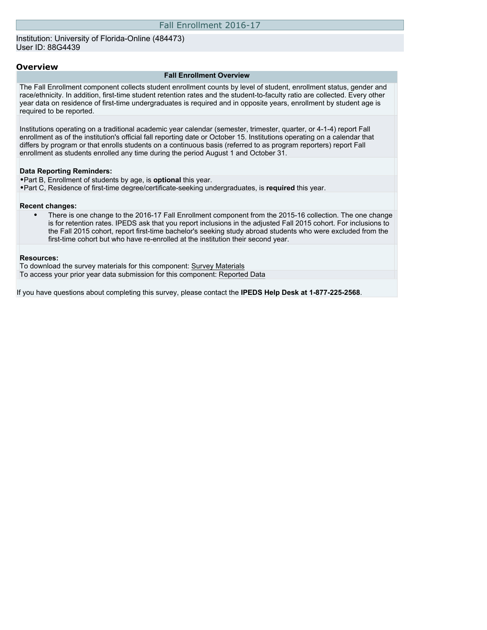#### Institution: University of Florida-Online (484473) User ID: 88G4439

#### **Overview**

#### **Fall Enrollment Overview**

The Fall Enrollment component collects student enrollment counts by level of student, enrollment status, gender and race/ethnicity. In addition, first-time student retention rates and the student-to-faculty ratio are collected. Every other year data on residence of first-time undergraduates is required and in opposite years, enrollment by student age is required to be reported.

Institutions operating on a traditional academic year calendar (semester, trimester, quarter, or 4-1-4) report Fall enrollment as of the institution's official fall reporting date or October 15. Institutions operating on a calendar that differs by program or that enrolls students on a continuous basis (referred to as program reporters) report Fall enrollment as students enrolled any time during the period August 1 and October 31.

#### **Data Reporting Reminders:**

- •Part B, Enrollment of students by age, is **optional** this year.
- •Part C, Residence of first-time degree/certificate-seeking undergraduates, is **required** this year.

#### **Recent changes:**

• There is one change to the 2016-17 Fall Enrollment component from the 2015-16 collection. The one change is for retention rates. IPEDS ask that you report inclusions in the adjusted Fall 2015 cohort. For inclusions to the Fall 2015 cohort, report first-time bachelor's seeking study abroad students who were excluded from the first-time cohort but who have re-enrolled at the institution their second year.

#### **Resources:**

To download the survey materials for this component: [Survey Materials](https://surveys.nces.ed.gov/ipeds/VisIndex.aspx) To access your prior year data submission for this component: [Reported Data](http://192.168.102.153/IPEDS/PriorYearDataRedirect.aspx?survey_id=6)

If you have questions about completing this survey, please contact the **IPEDS Help Desk at 1-877-225-2568**.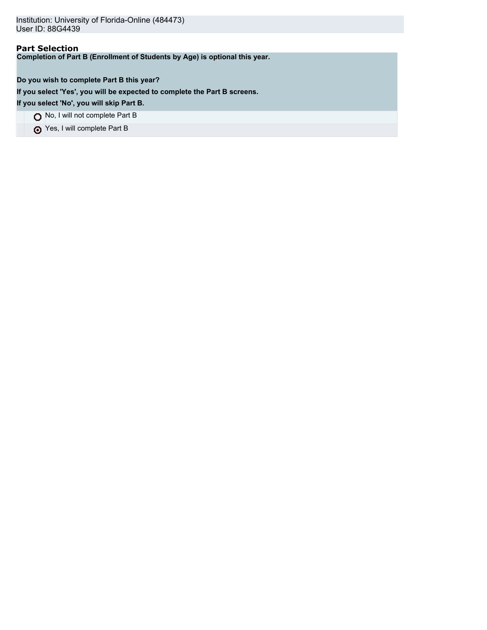# **Part Selection**

**Completion of Part B (Enrollment of Students by Age) is optional this year.**

**Do you wish to complete Part B this year?**

**If you select 'Yes', you will be expected to complete the Part B screens.**

**If you select 'No', you will skip Part B.**

No, I will not complete Part B

Yes, I will complete Part B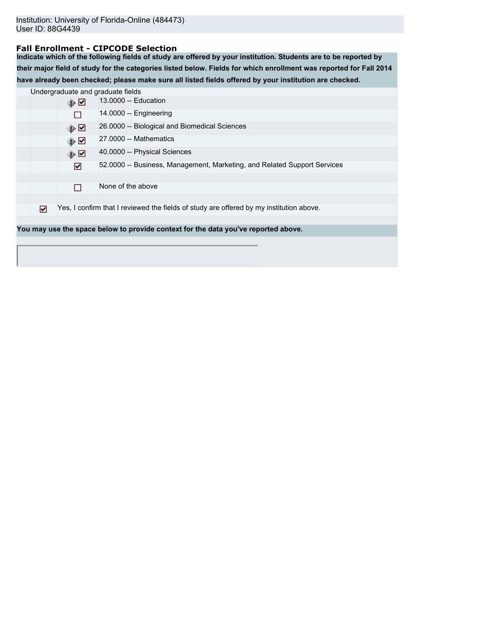### **Fall Enrollment - CIPCODE Selection**

**Indicate which of the following fields of study are offered by your institution. Students are to be reported by their major field of study for the categories listed below. Fields for which enrollment was reported for Fall 2014 have already been checked; please make sure all listed fields offered by your institution are checked.**

|   |               | Undergraduate and graduate fields                                                       |
|---|---------------|-----------------------------------------------------------------------------------------|
|   | ⊕☑            | 13,0000 -- Education                                                                    |
|   |               | $14.0000 -$ Engineering                                                                 |
|   | ⊕☑            | 26.0000 -- Biological and Biomedical Sciences                                           |
|   | ⊕☑            | 27,0000 -- Mathematics                                                                  |
|   | $\circledast$ | 40.0000 -- Physical Sciences                                                            |
|   | ☑             | 52.0000 -- Business, Management, Marketing, and Related Support Services                |
|   |               |                                                                                         |
|   |               | None of the above                                                                       |
|   |               |                                                                                         |
| ☑ |               | Yes, I confirm that I reviewed the fields of study are offered by my institution above. |
|   |               |                                                                                         |
|   |               | You may use the space below to provide context for the data you've reported above.      |
|   |               |                                                                                         |
|   |               |                                                                                         |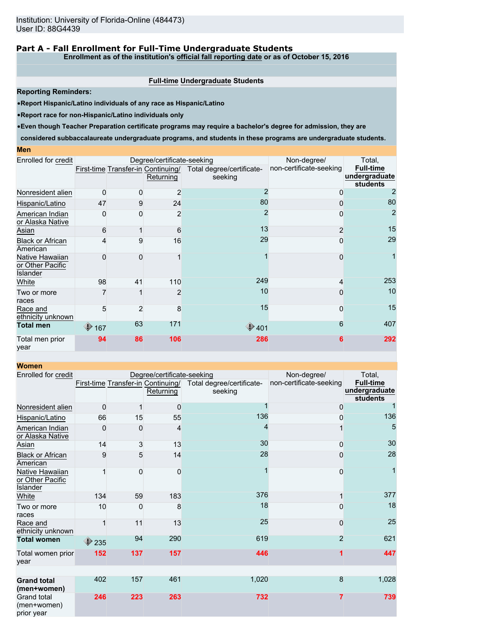### **Part A - Fall Enrollment for Full-Time Undergraduate Students**

**Enrollment as of the institution's official fall reporting date or as of October 15, 2016**

#### **Full-time Undergraduate Students**

**Reporting Reminders:**

•**Report Hispanic/Latino individuals of any race as Hispanic/Latino**

•**Report race for non-Hispanic/Latino individuals only**

•**Even though Teacher Preparation certificate programs may require a bachelor's degree for admission, they are**

**considered subbaccalaureate undergraduate programs, and students in these programs are undergraduate students.**

#### **Men**

| Enrolled for credit                             |                |                | Degree/certificate-seeking                      | Non-degree/                          | Total,                  |                                                      |
|-------------------------------------------------|----------------|----------------|-------------------------------------------------|--------------------------------------|-------------------------|------------------------------------------------------|
|                                                 |                |                | First-time Transfer-in Continuing/<br>Returning | Total degree/certificate-<br>seeking | non-certificate-seeking | <b>Full-time</b><br>undergraduate<br><b>students</b> |
| Nonresident alien                               | $\Omega$       | $\Omega$       | 2                                               |                                      | 0                       |                                                      |
| Hispanic/Latino                                 | 47             | 9              | 24                                              | 80                                   | 0                       | 80                                                   |
| American Indian<br>or Alaska Native             | O              | 0              | 2                                               |                                      | 0                       | $\overline{2}$                                       |
| Asian                                           | 6              |                | 6                                               | 13                                   | $\overline{2}$          | 15                                                   |
| <b>Black or African</b><br>American             |                | 9              | 16                                              | 29                                   | 0                       | 29                                                   |
| Native Hawaiian<br>or Other Pacific<br>Islander |                | 0              |                                                 |                                      | 0                       |                                                      |
| White                                           | 98             | 41             | 110                                             | 249                                  | 4                       | 253                                                  |
| Two or more<br>races                            |                |                | 2                                               | 10                                   | 0                       | 10                                                   |
| Race and<br>ethnicity unknown                   | 5              | $\overline{2}$ | 8                                               | 15                                   | 0                       | 15                                                   |
| <b>Total men</b>                                | $\bigcirc$ 167 | 63             | 171                                             | $\bigcirc$ 401                       | 6                       | 407                                                  |
| Total men prior<br>year                         | 94             | 86             | 106                                             | 286                                  | 6                       | 292                                                  |

|--|

| women                                           |                                                                                         |     |                            |                                                      |                |       |
|-------------------------------------------------|-----------------------------------------------------------------------------------------|-----|----------------------------|------------------------------------------------------|----------------|-------|
| Enrolled for credit                             |                                                                                         |     | Degree/certificate-seeking | Non-degree/                                          | Total,         |       |
|                                                 | First-time Transfer-in Continuing/<br>Total degree/certificate-<br>Returning<br>seeking |     | non-certificate-seeking    | <b>Full-time</b><br>undergraduate<br><b>students</b> |                |       |
| Nonresident alien                               | 0                                                                                       | 1   | 0                          |                                                      | 0              |       |
| Hispanic/Latino                                 | 66                                                                                      | 15  | 55                         | 136                                                  | 0              | 136   |
| American Indian<br>or Alaska Native             | 0                                                                                       | 0   | 4                          | 4                                                    |                | 5     |
| Asian                                           | 14                                                                                      | 3   | 13                         | 30                                                   | 0              | 30    |
| <b>Black or African</b><br>American             | 9                                                                                       | 5   | 14                         | 28                                                   | 0              | 28    |
| Native Hawaiian<br>or Other Pacific<br>Islander |                                                                                         | 0   | 0                          |                                                      | $\Omega$       | 1     |
| White                                           | 134                                                                                     | 59  | 183                        | 376                                                  |                | 377   |
| Two or more<br>races                            | 10                                                                                      | 0   | 8                          | 18                                                   | $\Omega$       | 18    |
| Race and<br>ethnicity unknown                   |                                                                                         | 11  | 13                         | 25                                                   | $\Omega$       | 25    |
| <b>Total women</b>                              | $\bigtriangledown$ 235                                                                  | 94  | 290                        | 619                                                  | $\overline{2}$ | 621   |
| Total women prior<br>vear                       | 152                                                                                     | 137 | 157                        | 446                                                  |                | 447   |
| <b>Grand total</b>                              | 402                                                                                     | 157 | 461                        | 1,020                                                | 8              | 1,028 |
| (men+women)                                     |                                                                                         |     |                            |                                                      |                |       |
| <b>Grand total</b><br>(men+women)<br>prior year | 246                                                                                     | 223 | 263                        | 732                                                  | 7              | 739   |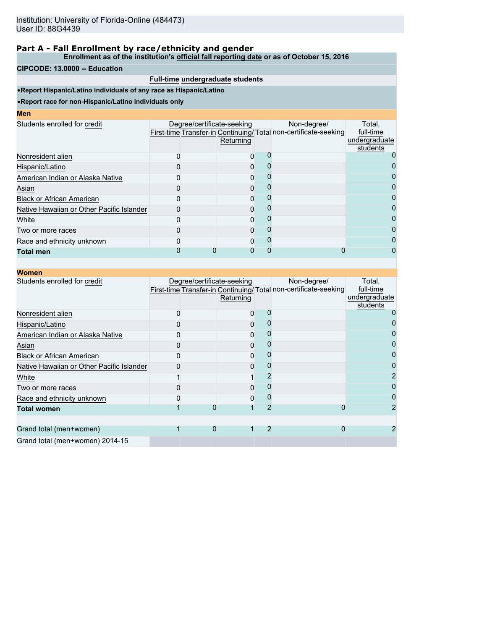**Enrollment as of the institution's official fall reporting date or as of October 15, 2016**

#### **CIPCODE: 13.0000 -- Education**

### **Full-time undergraduate students**

•**Report Hispanic/Latino individuals of any race as Hispanic/Latino**

| ı<br><b>STATE OF STATE OF STATE OF STATE OF STATE OF STATE OF STATE OF STATE OF STATE OF STATE OF STATE OF STATE OF S</b> | we<br><b>Contract Contract Contract Contract Contract Contract Contract Contract Contract Contract Contract Contract Co</b> |  |  |
|---------------------------------------------------------------------------------------------------------------------------|-----------------------------------------------------------------------------------------------------------------------------|--|--|
|                                                                                                                           |                                                                                                                             |  |  |

| Returning |                            | Non-degree/ | Total.<br>full-time<br>undergraduate<br>students                 |
|-----------|----------------------------|-------------|------------------------------------------------------------------|
|           |                            |             |                                                                  |
|           |                            |             |                                                                  |
|           |                            |             |                                                                  |
|           |                            |             |                                                                  |
|           |                            |             |                                                                  |
|           |                            |             |                                                                  |
|           |                            |             |                                                                  |
|           |                            |             | 0                                                                |
|           |                            |             |                                                                  |
|           |                            |             |                                                                  |
|           | Degree/certificate-seeking |             | First-time Transfer-in Continuing/ Total non-certificate-seeking |

| <b>Women</b>                              |                            |           |                |                                                                                |                                                  |
|-------------------------------------------|----------------------------|-----------|----------------|--------------------------------------------------------------------------------|--------------------------------------------------|
| Students enrolled for credit              | Degree/certificate-seeking | Returning |                | Non-degree/<br>First-time Transfer-in Continuing/Total non-certificate-seeking | Total,<br>full-time<br>undergraduate<br>students |
| Nonresident alien                         |                            | 0         |                |                                                                                |                                                  |
| Hispanic/Latino                           |                            | 0         |                |                                                                                |                                                  |
| American Indian or Alaska Native          |                            |           |                |                                                                                |                                                  |
| Asian                                     |                            |           |                |                                                                                |                                                  |
| <b>Black or African American</b>          |                            | 0         |                |                                                                                |                                                  |
| Native Hawaiian or Other Pacific Islander |                            | O         |                |                                                                                |                                                  |
| White                                     |                            |           |                |                                                                                |                                                  |
| Two or more races                         |                            |           |                |                                                                                |                                                  |
| Race and ethnicity unknown                |                            | 0         |                |                                                                                |                                                  |
| <b>Total women</b>                        |                            |           | 2              | O                                                                              |                                                  |
|                                           |                            |           |                |                                                                                |                                                  |
| Grand total (men+women)                   |                            | O         | $\overline{2}$ | O                                                                              |                                                  |
| Grand total (men+women) 2014-15           |                            |           |                |                                                                                |                                                  |
|                                           |                            |           |                |                                                                                |                                                  |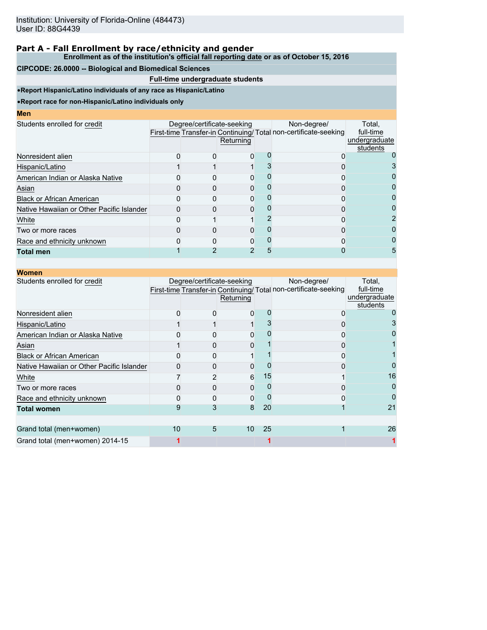**Enrollment as of the institution's official fall reporting date or as of October 15, 2016**

#### **CIPCODE: 26.0000 -- Biological and Biomedical Sciences**

### **Full-time undergraduate students**

•**Report Hispanic/Latino individuals of any race as Hispanic/Latino**

| ı<br>we |  |  |
|---------|--|--|
|         |  |  |
|         |  |  |

| мен                                       |                            |           |                                                                                |                                                  |
|-------------------------------------------|----------------------------|-----------|--------------------------------------------------------------------------------|--------------------------------------------------|
| Students enrolled for credit              | Degree/certificate-seeking | Returning | Non-degree/<br>First-time Transfer-in Continuing/Total non-certificate-seeking | Total.<br>full-time<br>undergraduate<br>students |
| Nonresident alien                         |                            | O         |                                                                                |                                                  |
| Hispanic/Latino                           |                            |           |                                                                                |                                                  |
| American Indian or Alaska Native          |                            |           |                                                                                |                                                  |
| Asian                                     |                            |           |                                                                                |                                                  |
| <b>Black or African American</b>          |                            |           |                                                                                | 0                                                |
| Native Hawaiian or Other Pacific Islander |                            |           |                                                                                |                                                  |
| White                                     |                            |           |                                                                                | 2                                                |
| Two or more races                         |                            |           |                                                                                | 0                                                |
| Race and ethnicity unknown                |                            |           |                                                                                |                                                  |
| Total men                                 |                            |           |                                                                                | 5                                                |
|                                           |                            |           |                                                                                |                                                  |

| <b>Women</b>                              |    |   |                                         |    |                                                                                |                                                  |
|-------------------------------------------|----|---|-----------------------------------------|----|--------------------------------------------------------------------------------|--------------------------------------------------|
| Students enrolled for credit              |    |   | Degree/certificate-seeking<br>Returning |    | Non-degree/<br>First-time Transfer-in Continuing/Total non-certificate-seeking | Total,<br>full-time<br>undergraduate<br>students |
| Nonresident alien                         |    |   |                                         |    |                                                                                |                                                  |
| Hispanic/Latino                           |    |   |                                         |    |                                                                                |                                                  |
| American Indian or Alaska Native          |    |   |                                         |    |                                                                                |                                                  |
| Asian                                     |    |   | 0                                       |    |                                                                                |                                                  |
| <b>Black or African American</b>          |    |   |                                         |    |                                                                                |                                                  |
| Native Hawaiian or Other Pacific Islander |    |   |                                         |    |                                                                                |                                                  |
| White                                     |    |   | 6                                       | 15 |                                                                                | 16                                               |
| Two or more races                         |    |   |                                         |    |                                                                                |                                                  |
| Race and ethnicity unknown                |    |   | 0                                       |    |                                                                                |                                                  |
| <b>Total women</b>                        | 9  |   | 8                                       | 20 |                                                                                | 21                                               |
| Grand total (men+women)                   | 10 | 5 | 10                                      | 25 |                                                                                | 26                                               |
| Grand total (men+women) 2014-15           |    |   |                                         |    |                                                                                |                                                  |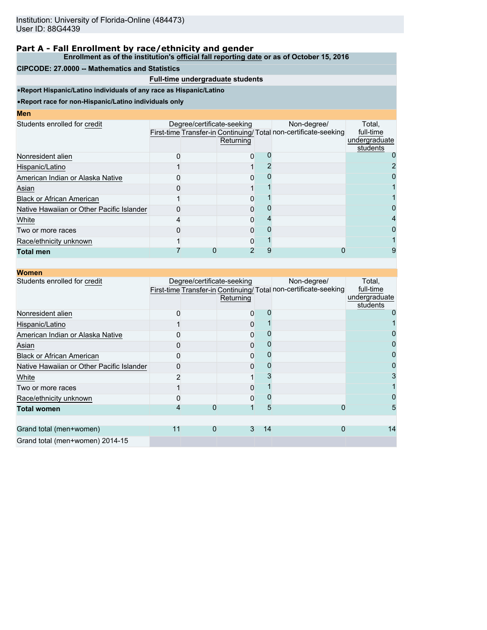### **Enrollment as of the institution's official fall reporting date or as of October 15, 2016**

### **CIPCODE: 27.0000 -- Mathematics and Statistics**

# **Full-time undergraduate students**

•**Report Hispanic/Latino individuals of any race as Hispanic/Latino**

| <b>Men</b>                                |  |                                         |                                                                                |                                                  |
|-------------------------------------------|--|-----------------------------------------|--------------------------------------------------------------------------------|--------------------------------------------------|
| Students enrolled for credit              |  | Degree/certificate-seeking<br>Returning | Non-degree/<br>First-time Transfer-in Continuing/Total non-certificate-seeking | Total,<br>full-time<br>undergraduate<br>students |
| Nonresident alien                         |  |                                         |                                                                                |                                                  |
| Hispanic/Latino                           |  |                                         |                                                                                |                                                  |
| American Indian or Alaska Native          |  |                                         |                                                                                |                                                  |
| Asian                                     |  |                                         |                                                                                |                                                  |
| <b>Black or African American</b>          |  |                                         |                                                                                |                                                  |
| Native Hawaiian or Other Pacific Islander |  |                                         |                                                                                |                                                  |
| White                                     |  |                                         |                                                                                | 4                                                |
| Two or more races                         |  |                                         |                                                                                |                                                  |
| Race/ethnicity unknown                    |  |                                         |                                                                                |                                                  |
| <b>Total men</b>                          |  |                                         |                                                                                |                                                  |

| <b>Women</b>                              |    |          |                                         |    |                                                                                |                                                  |
|-------------------------------------------|----|----------|-----------------------------------------|----|--------------------------------------------------------------------------------|--------------------------------------------------|
| Students enrolled for credit              |    |          | Degree/certificate-seeking<br>Returning |    | Non-degree/<br>First-time Transfer-in Continuing/Total non-certificate-seeking | Total,<br>full-time<br>undergraduate<br>students |
| Nonresident alien                         |    |          | 0                                       |    |                                                                                |                                                  |
| Hispanic/Latino                           |    |          | 0                                       |    |                                                                                |                                                  |
| American Indian or Alaska Native          |    |          | 0                                       |    |                                                                                |                                                  |
| Asian                                     |    |          | 0                                       |    |                                                                                |                                                  |
| <b>Black or African American</b>          |    |          | 0                                       |    |                                                                                |                                                  |
| Native Hawaiian or Other Pacific Islander |    |          | O                                       |    |                                                                                |                                                  |
| White                                     |    |          |                                         |    |                                                                                |                                                  |
| Two or more races                         |    |          | 0                                       |    |                                                                                |                                                  |
| Race/ethnicity unknown                    |    |          | 0                                       |    |                                                                                |                                                  |
| <b>Total women</b>                        |    |          |                                         | 5  | 0                                                                              | 5                                                |
|                                           |    |          |                                         |    |                                                                                |                                                  |
| Grand total (men+women)                   | 11 | $\Omega$ | 3                                       | 14 | 0                                                                              | 14                                               |
| Grand total (men+women) 2014-15           |    |          |                                         |    |                                                                                |                                                  |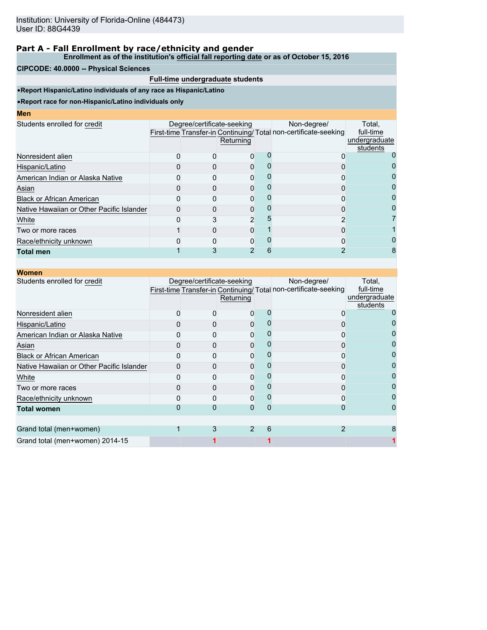**Enrollment as of the institution's official fall reporting date or as of October 15, 2016**

#### **CIPCODE: 40.0000 -- Physical Sciences**

### **Full-time undergraduate students**

•**Report Hispanic/Latino individuals of any race as Hispanic/Latino**

| I<br>ш<br>۱<br><b>STATE OF STATE OF STATE OF STATE OF STATE OF STATE OF STATE OF STATE OF STATE OF STATE OF STATE OF STATE OF S</b> |  |  |
|-------------------------------------------------------------------------------------------------------------------------------------|--|--|
|                                                                                                                                     |  |  |

| мен                                       |                            |           |   |                                                                                |                                                  |
|-------------------------------------------|----------------------------|-----------|---|--------------------------------------------------------------------------------|--------------------------------------------------|
| Students enrolled for credit              | Degree/certificate-seeking | Returning |   | Non-degree/<br>First-time Transfer-in Continuing/Total non-certificate-seeking | Total.<br>full-time<br>undergraduate<br>students |
| Nonresident alien                         |                            | 0         |   |                                                                                |                                                  |
| Hispanic/Latino                           |                            |           |   |                                                                                |                                                  |
| American Indian or Alaska Native          |                            |           |   |                                                                                | O                                                |
| Asian                                     |                            |           |   |                                                                                | 0                                                |
| <b>Black or African American</b>          |                            |           |   |                                                                                | 0                                                |
| Native Hawaiian or Other Pacific Islander |                            |           |   |                                                                                |                                                  |
| White                                     |                            | 2         |   |                                                                                |                                                  |
| Two or more races                         |                            |           |   |                                                                                |                                                  |
| Race/ethnicity unknown                    |                            |           |   |                                                                                |                                                  |
| <b>Total men</b>                          |                            | າ         | 6 |                                                                                |                                                  |
|                                           |                            |           |   |                                                                                |                                                  |

| <b>Women</b>                              |   |                                         |   |                                                                                |                                                  |
|-------------------------------------------|---|-----------------------------------------|---|--------------------------------------------------------------------------------|--------------------------------------------------|
| Students enrolled for credit              |   | Degree/certificate-seeking<br>Returning |   | Non-degree/<br>First-time Transfer-in Continuing/Total non-certificate-seeking | Total,<br>full-time<br>undergraduate<br>students |
| Nonresident alien                         |   | 0                                       |   |                                                                                |                                                  |
| Hispanic/Latino                           |   | 0                                       |   |                                                                                |                                                  |
| American Indian or Alaska Native          |   |                                         |   |                                                                                |                                                  |
| Asian                                     |   | 0                                       |   |                                                                                |                                                  |
| <b>Black or African American</b>          |   | 0                                       |   |                                                                                |                                                  |
| Native Hawaiian or Other Pacific Islander |   |                                         |   |                                                                                |                                                  |
| White                                     |   |                                         |   |                                                                                |                                                  |
| Two or more races                         |   |                                         |   |                                                                                |                                                  |
| Race/ethnicity unknown                    |   | $\Omega$                                |   |                                                                                |                                                  |
| <b>Total women</b>                        |   | 0                                       | O |                                                                                |                                                  |
|                                           |   |                                         |   |                                                                                |                                                  |
| Grand total (men+women)                   | 3 | 2                                       | 6 |                                                                                |                                                  |
| Grand total (men+women) 2014-15           |   |                                         |   |                                                                                |                                                  |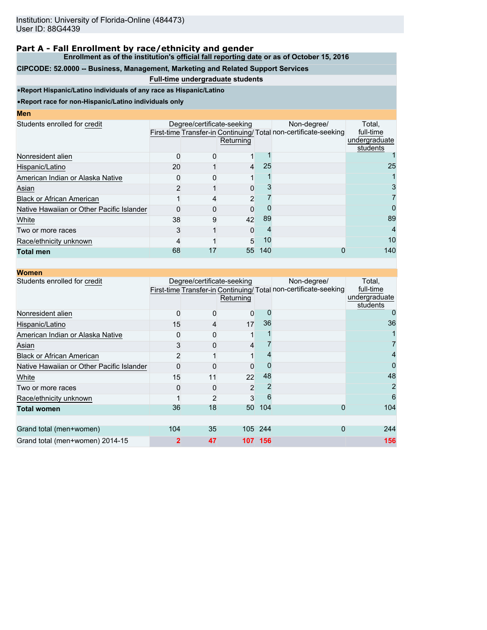**Enrollment as of the institution's official fall reporting date or as of October 15, 2016**

# **CIPCODE: 52.0000 -- Business, Management, Marketing and Related Support Services**

### **Full-time undergraduate students**

•**Report Hispanic/Latino individuals of any race as Hispanic/Latino**

|  | ме | г |  |
|--|----|---|--|
|  |    |   |  |

| Men                                       |              |                            |           |     |                                                                 |               |
|-------------------------------------------|--------------|----------------------------|-----------|-----|-----------------------------------------------------------------|---------------|
| Students enrolled for credit              |              | Degree/certificate-seeking |           |     | Non-degree/                                                     | Total,        |
|                                           |              |                            |           |     | First-time Transfer-in Continuing/Total non-certificate-seeking | full-time     |
|                                           |              |                            | Returning |     |                                                                 | undergraduate |
| Nonresident alien                         | <sup>0</sup> |                            |           |     |                                                                 | students      |
|                                           |              |                            |           |     |                                                                 |               |
| Hispanic/Latino                           | 20           |                            | 4         | 25  |                                                                 | 25            |
| American Indian or Alaska Native          |              |                            |           |     |                                                                 |               |
| Asian                                     |              |                            |           |     |                                                                 |               |
| <b>Black or African American</b>          |              |                            | 2         |     |                                                                 |               |
| Native Hawaiian or Other Pacific Islander |              |                            | ი         |     |                                                                 | $\mathbf{O}$  |
| White                                     | 38           | 9                          | 42        | 89  |                                                                 | 89            |
| Two or more races                         |              |                            | 0         |     |                                                                 | 4             |
| Race/ethnicity unknown                    |              |                            | 5         | 10  |                                                                 | 10            |
| <b>Total men</b>                          | 68           | 17                         | 55        | 140 |                                                                 | 140           |

| <b>Women</b>                              |                |                            |           |          |                                                                                 |                                                  |
|-------------------------------------------|----------------|----------------------------|-----------|----------|---------------------------------------------------------------------------------|--------------------------------------------------|
| Students enrolled for credit              |                | Degree/certificate-seeking | Returning |          | Non-degree/<br>First-time Transfer-in Continuing/ Total non-certificate-seeking | Total,<br>full-time<br>undergraduate<br>students |
| Nonresident alien                         | $\Omega$       |                            | 0         | $\left($ |                                                                                 |                                                  |
| Hispanic/Latino                           | 15             | 4                          | 17        | 36       |                                                                                 | 36                                               |
| American Indian or Alaska Native          |                |                            |           |          |                                                                                 |                                                  |
| Asian                                     | 3              | 0                          | 4         |          |                                                                                 |                                                  |
| <b>Black or African American</b>          | $\overline{2}$ |                            |           |          |                                                                                 |                                                  |
| Native Hawaiian or Other Pacific Islander | O              |                            | 0         |          |                                                                                 | O                                                |
| White                                     | 15             | 11                         | 22        | 48       |                                                                                 | 48                                               |
| Two or more races                         |                | $\mathbf{0}$               | 2         |          |                                                                                 |                                                  |
| Race/ethnicity unknown                    |                | $\overline{2}$             | 3         | 6        |                                                                                 | 6                                                |
| <b>Total women</b>                        | 36             | 18                         | 50        | 104      | 0                                                                               | 104                                              |
|                                           |                |                            |           |          |                                                                                 |                                                  |
| Grand total (men+women)                   | 104            | 35                         |           | 105 244  | 0                                                                               | 244                                              |
| Grand total (men+women) 2014-15           | $\mathbf{2}$   | 47                         | 107       | 156      |                                                                                 | 156                                              |
|                                           |                |                            |           |          |                                                                                 |                                                  |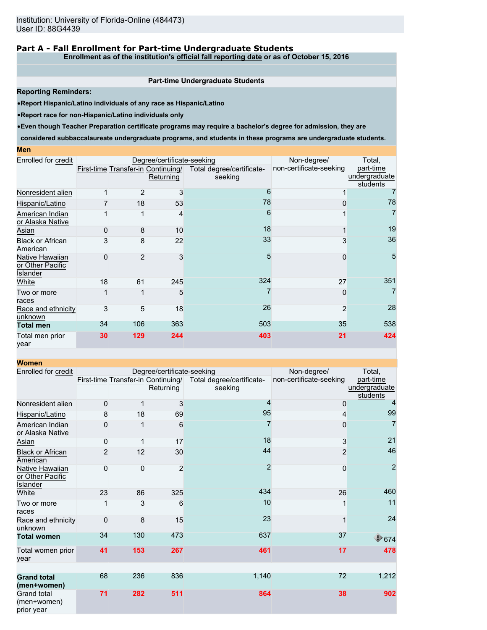### **Part A - Fall Enrollment for Part-time Undergraduate Students**

**Enrollment as of the institution's official fall reporting date or as of October 15, 2016**

#### **Part-time Undergraduate Students**

**Reporting Reminders:**

•**Report Hispanic/Latino individuals of any race as Hispanic/Latino**

•**Report race for non-Hispanic/Latino individuals only**

•**Even though Teacher Preparation certificate programs may require a bachelor's degree for admission, they are**

**considered subbaccalaureate undergraduate programs, and students in these programs are undergraduate students.**

#### **Men**

| Enrolled for credit                                    |    | Degree/certificate-seeking | Non-degree/                                     | Total,                               |                         |                                        |
|--------------------------------------------------------|----|----------------------------|-------------------------------------------------|--------------------------------------|-------------------------|----------------------------------------|
|                                                        |    |                            | First-time Transfer-in Continuing/<br>Returning | Total degree/certificate-<br>seeking | non-certificate-seeking | part-time<br>undergraduate<br>students |
| Nonresident alien                                      |    |                            | 3                                               | 6                                    |                         |                                        |
| Hispanic/Latino                                        |    | 18                         | 53                                              | 78                                   |                         | 78                                     |
| American Indian<br>or Alaska Native                    |    |                            | 4                                               | 6                                    |                         | 7                                      |
| Asian                                                  |    | 8                          | 10                                              | 18                                   |                         | 19                                     |
| <b>Black or African</b><br>American                    |    | 8                          | 22                                              | 33                                   |                         | 36                                     |
| Native Hawaiian<br>or Other Pacific<br><b>Islander</b> |    | 2                          | 3                                               | 5                                    | $\Omega$                | 5                                      |
| White                                                  | 18 | 61                         | 245                                             | 324                                  | 27                      | 351                                    |
| Two or more<br>races                                   |    |                            | 5                                               |                                      | $\Omega$                | 7                                      |
| Race and ethnicity<br>unknown                          |    | 5                          | 18                                              | 26                                   | $\overline{2}$          | 28                                     |
| <b>Total men</b>                                       | 34 | 106                        | 363                                             | 503                                  | 35                      | 538                                    |
| Total men prior<br>year                                | 30 | 129                        | 244                                             | 403                                  | 21                      | 424                                    |

| <b>Women</b>                                           |                |             |                                                 |                                      |                         |                                        |
|--------------------------------------------------------|----------------|-------------|-------------------------------------------------|--------------------------------------|-------------------------|----------------------------------------|
| Enrolled for credit                                    |                |             | Degree/certificate-seeking                      |                                      | Non-degree/             | Total,                                 |
|                                                        |                |             | First-time Transfer-in Continuing/<br>Returning | Total degree/certificate-<br>seeking | non-certificate-seeking | part-time<br>undergraduate<br>students |
| Nonresident alien                                      | 0              |             | 3                                               | $\overline{4}$                       | 0                       | $\overline{4}$                         |
| Hispanic/Latino                                        | 8              | 18          | 69                                              | 95                                   | 4                       | 99                                     |
| American Indian<br>or Alaska Native                    | 0              |             | 6                                               |                                      | 0                       | 7                                      |
| Asian                                                  | 0              |             | 17                                              | 18                                   | 3                       | 21                                     |
| <b>Black or African</b><br>American                    | $\overline{2}$ | 12          | 30                                              | 44                                   | $\overline{2}$          | 46                                     |
| Native Hawaiian<br>or Other Pacific<br><b>Islander</b> | 0              | $\mathbf 0$ | $\overline{2}$                                  | $\overline{2}$                       | 0                       | $\overline{2}$                         |
| White                                                  | 23             | 86          | 325                                             | 434                                  | 26                      | 460                                    |
| Two or more<br>races                                   |                | 3           | 6                                               | 10                                   | 1                       | 11                                     |
| Race and ethnicity<br>unknown                          | $\Omega$       | 8           | 15                                              | 23                                   | 1                       | 24                                     |
| <b>Total women</b>                                     | 34             | 130         | 473                                             | 637                                  | 37                      | $\bigcirc$ 674                         |
| Total women prior<br>vear                              | 41             | 153         | 267                                             | 461                                  | 17                      | 478                                    |
|                                                        |                |             |                                                 |                                      |                         |                                        |
| <b>Grand total</b><br>(men+women)                      | 68             | 236         | 836                                             | 1,140                                | 72                      | 1,212                                  |
| Grand total<br>(men+women)<br>prior year               | 71             | 282         | 511                                             | 864                                  | 38                      | 902                                    |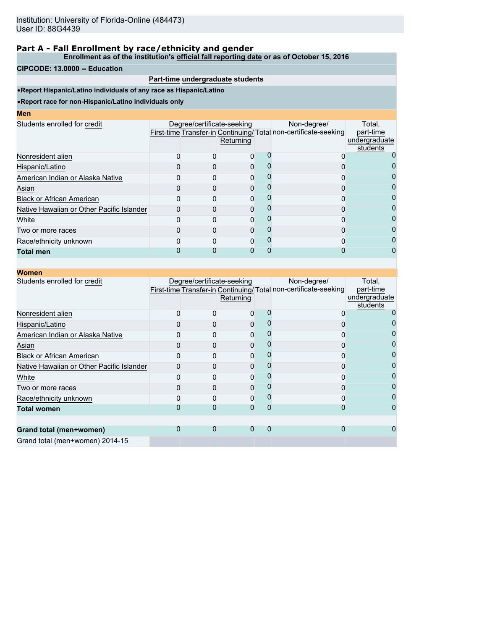**Enrollment as of the institution's official fall reporting date or as of October 15, 2016**

#### **CIPCODE: 13.0000 -- Education**

### **Part-time undergraduate students**

•**Report Hispanic/Latino individuals of any race as Hispanic/Latino**

| I<br>ш<br>۱<br><b>STATE OF STATE OF STATE OF STATE OF STATE OF STATE OF STATE OF STATE OF STATE OF STATE OF STATE OF STATE OF S</b> |  |  |
|-------------------------------------------------------------------------------------------------------------------------------------|--|--|
|                                                                                                                                     |  |  |

| шы                                        |                            |           |                                                                                |                                                  |
|-------------------------------------------|----------------------------|-----------|--------------------------------------------------------------------------------|--------------------------------------------------|
| Students enrolled for credit              | Degree/certificate-seeking | Returning | Non-degree/<br>First-time Transfer-in Continuing/Total non-certificate-seeking | Total.<br>part-time<br>undergraduate<br>students |
| Nonresident alien                         |                            | O)        |                                                                                |                                                  |
| Hispanic/Latino                           |                            |           |                                                                                |                                                  |
| American Indian or Alaska Native          |                            |           |                                                                                | 0                                                |
| Asian                                     |                            |           |                                                                                | 0                                                |
| <b>Black or African American</b>          |                            |           |                                                                                |                                                  |
| Native Hawaiian or Other Pacific Islander |                            |           |                                                                                |                                                  |
| White                                     |                            |           |                                                                                | O                                                |
| Two or more races                         |                            |           |                                                                                |                                                  |
| Race/ethnicity unknown                    |                            |           |                                                                                |                                                  |
| <b>Total men</b>                          |                            |           |                                                                                |                                                  |
|                                           |                            |           |                                                                                |                                                  |

| <b>Women</b>                              |                            |           |          |                                                                                |                                                  |
|-------------------------------------------|----------------------------|-----------|----------|--------------------------------------------------------------------------------|--------------------------------------------------|
| Students enrolled for credit              | Degree/certificate-seeking | Returning |          | Non-degree/<br>First-time Transfer-in Continuing/Total non-certificate-seeking | Total,<br>part-time<br>undergraduate<br>students |
| Nonresident alien                         |                            | 0         |          |                                                                                |                                                  |
| Hispanic/Latino                           |                            | 0         |          |                                                                                |                                                  |
| American Indian or Alaska Native          |                            | 0         |          |                                                                                |                                                  |
| Asian                                     |                            | 0         |          |                                                                                |                                                  |
| <b>Black or African American</b>          |                            | 0         |          |                                                                                |                                                  |
| Native Hawaiian or Other Pacific Islander |                            | O         |          |                                                                                |                                                  |
| White                                     |                            |           |          |                                                                                |                                                  |
| Two or more races                         |                            | 0         |          |                                                                                |                                                  |
| Race/ethnicity unknown                    |                            | $\Omega$  |          |                                                                                |                                                  |
| <b>Total women</b>                        |                            | 0         | O        |                                                                                |                                                  |
| Grand total (men+women)                   | 0                          | $\Omega$  | $\Omega$ | 0                                                                              |                                                  |
| Grand total (men+women) 2014-15           |                            |           |          |                                                                                |                                                  |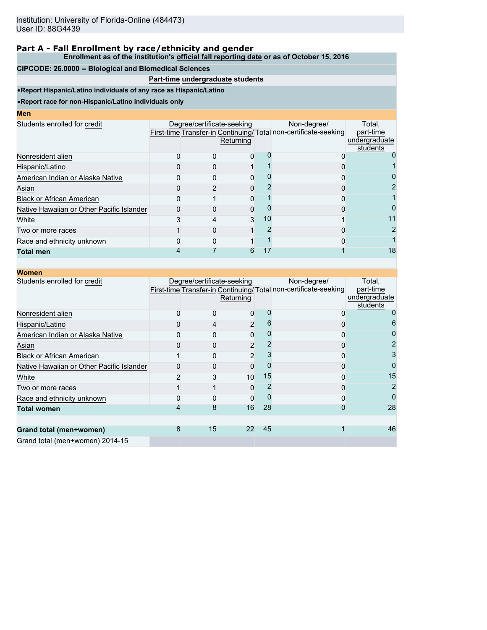**Enrollment as of the institution's official fall reporting date or as of October 15, 2016**

#### **CIPCODE: 26.0000 -- Biological and Biomedical Sciences**

### **Part-time undergraduate students**

•**Report Hispanic/Latino individuals of any race as Hispanic/Latino**

•**Report race for non-Hispanic/Latino individuals only**

**Men**

|                                           | Returning |                            | Non-degree/ | Total,<br>part-time<br>undergraduate<br>students                |
|-------------------------------------------|-----------|----------------------------|-------------|-----------------------------------------------------------------|
|                                           |           |                            |             |                                                                 |
|                                           |           |                            |             |                                                                 |
|                                           |           |                            |             |                                                                 |
|                                           |           |                            |             | 2                                                               |
|                                           |           |                            |             |                                                                 |
|                                           |           |                            |             |                                                                 |
|                                           |           | 10                         |             | 11                                                              |
|                                           |           |                            |             |                                                                 |
|                                           |           |                            |             |                                                                 |
|                                           |           |                            |             | 18                                                              |
| Native Hawaiian or Other Pacific Islander |           | Degree/certificate-seeking | 0<br>3<br>6 | First-time Transfer-in Continuing/Total non-certificate-seeking |

| <b>Women</b>                              |   |                            |                |    |                                                                                |                                                  |
|-------------------------------------------|---|----------------------------|----------------|----|--------------------------------------------------------------------------------|--------------------------------------------------|
| Students enrolled for credit              |   | Degree/certificate-seeking | Returning      |    | Non-degree/<br>First-time Transfer-in Continuing/Total non-certificate-seeking | Total,<br>part-time<br>undergraduate<br>students |
| Nonresident alien                         |   |                            | 0              |    |                                                                                |                                                  |
| Hispanic/Latino                           |   |                            | $\overline{2}$ |    |                                                                                |                                                  |
| American Indian or Alaska Native          |   |                            | 0              |    |                                                                                |                                                  |
| Asian                                     |   |                            | 2              |    | O                                                                              |                                                  |
| <b>Black or African American</b>          |   |                            | $\overline{2}$ |    | 0                                                                              | 3                                                |
| Native Hawaiian or Other Pacific Islander |   |                            | 0              |    | 0                                                                              |                                                  |
| White                                     |   |                            | 10             | 15 |                                                                                | 15                                               |
| Two or more races                         |   |                            | 0              |    |                                                                                | 2                                                |
| Race and ethnicity unknown                |   |                            | 0              |    | 0                                                                              | 0                                                |
| <b>Total women</b>                        |   | 8                          | 16             | 28 | Ω                                                                              | 28                                               |
| Grand total (men+women)                   | 8 | 15                         | 22             | 45 |                                                                                | 46                                               |
| Grand total (men+women) 2014-15           |   |                            |                |    |                                                                                |                                                  |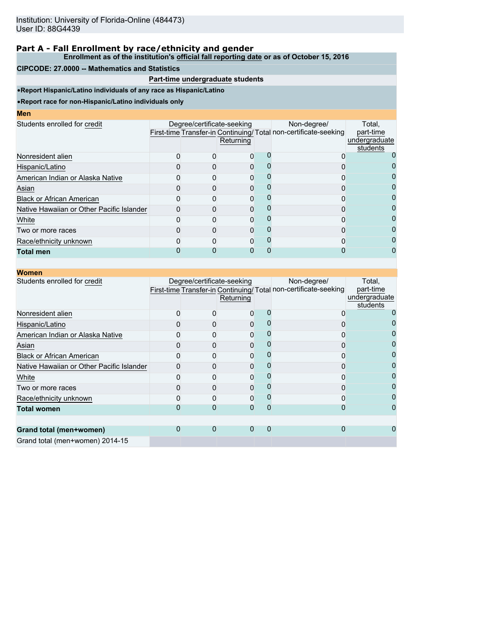**Enrollment as of the institution's official fall reporting date or as of October 15, 2016**

#### **CIPCODE: 27.0000 -- Mathematics and Statistics**

### **Part-time undergraduate students**

•**Report Hispanic/Latino individuals of any race as Hispanic/Latino**

| ı<br>we |  |  |
|---------|--|--|
|         |  |  |
|         |  |  |

| .                                         |                            |           |                                                                                |                                                  |
|-------------------------------------------|----------------------------|-----------|--------------------------------------------------------------------------------|--------------------------------------------------|
| Students enrolled for credit              | Degree/certificate-seeking | Returning | Non-degree/<br>First-time Transfer-in Continuing/Total non-certificate-seeking | Total.<br>part-time<br>undergraduate<br>students |
| Nonresident alien                         |                            |           |                                                                                |                                                  |
| Hispanic/Latino                           |                            |           |                                                                                |                                                  |
| American Indian or Alaska Native          |                            | O         |                                                                                |                                                  |
| Asian                                     |                            |           |                                                                                |                                                  |
| <b>Black or African American</b>          |                            |           |                                                                                |                                                  |
| Native Hawaiian or Other Pacific Islander |                            |           |                                                                                |                                                  |
| White                                     |                            | ŋ         |                                                                                | O                                                |
| Two or more races                         |                            |           |                                                                                | 0                                                |
| Race/ethnicity unknown                    |                            | O         |                                                                                |                                                  |
| <b>Total men</b>                          |                            |           |                                                                                |                                                  |
|                                           |                            |           |                                                                                |                                                  |

| <b>Women</b>                              |                            |           |   |                                                                                |                                                  |
|-------------------------------------------|----------------------------|-----------|---|--------------------------------------------------------------------------------|--------------------------------------------------|
| Students enrolled for credit              | Degree/certificate-seeking | Returning |   | Non-degree/<br>First-time Transfer-in Continuing/Total non-certificate-seeking | Total,<br>part-time<br>undergraduate<br>students |
| Nonresident alien                         |                            |           |   |                                                                                |                                                  |
| Hispanic/Latino                           |                            | 0         |   |                                                                                |                                                  |
| American Indian or Alaska Native          |                            | ი         |   |                                                                                |                                                  |
| Asian                                     |                            | 0         |   |                                                                                |                                                  |
| <b>Black or African American</b>          |                            | 0         |   | Π                                                                              |                                                  |
| Native Hawaiian or Other Pacific Islander |                            | 0         |   |                                                                                |                                                  |
| White                                     |                            | ი         |   |                                                                                |                                                  |
| Two or more races                         |                            | 0         |   |                                                                                |                                                  |
| Race/ethnicity unknown                    |                            | ი         |   | n                                                                              |                                                  |
| <b>Total women</b>                        |                            | 0         | ი |                                                                                |                                                  |
| Grand total (men+women)                   |                            | 0         | 0 |                                                                                |                                                  |
| Grand total (men+women) 2014-15           |                            |           |   |                                                                                |                                                  |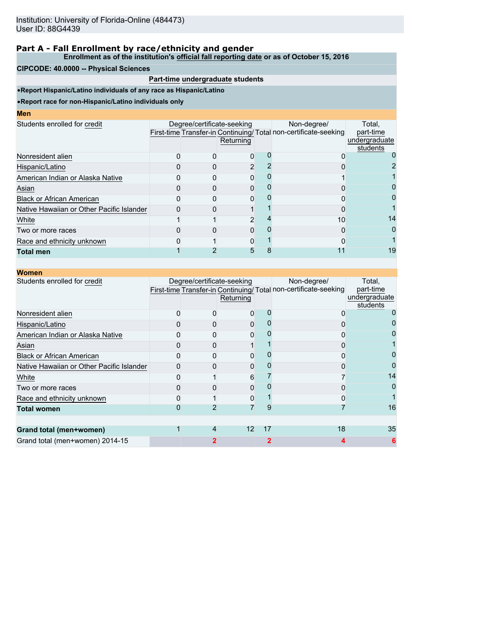**Enrollment as of the institution's official fall reporting date or as of October 15, 2016**

#### **CIPCODE: 40.0000 -- Physical Sciences**

### **Part-time undergraduate students**

•**Report Hispanic/Latino individuals of any race as Hispanic/Latino**

| <b>CONTRACTOR</b> |  | <b>STATE OF STATE OF STATE OF STATE OF STATE OF STATE OF STATE OF STATE OF STATE OF STATE OF STATE OF STATE OF S</b> | <b>Contract Contract Contract Contract Contract Contract Contract Contract Contract Contract Contract Contract Co</b> |
|-------------------|--|----------------------------------------------------------------------------------------------------------------------|-----------------------------------------------------------------------------------------------------------------------|
|                   |  |                                                                                                                      |                                                                                                                       |

| шы                                        |                            |           |                                                                                |                                                  |
|-------------------------------------------|----------------------------|-----------|--------------------------------------------------------------------------------|--------------------------------------------------|
| Students enrolled for credit              | Degree/certificate-seeking | Returning | Non-degree/<br>First-time Transfer-in Continuing/Total non-certificate-seeking | Total.<br>part-time<br>undergraduate<br>students |
| Nonresident alien                         |                            | 0         |                                                                                |                                                  |
| Hispanic/Latino                           |                            |           |                                                                                |                                                  |
| American Indian or Alaska Native          |                            |           |                                                                                |                                                  |
| Asian                                     |                            |           |                                                                                |                                                  |
| <b>Black or African American</b>          |                            |           |                                                                                | 0                                                |
| Native Hawaiian or Other Pacific Islander |                            |           |                                                                                |                                                  |
| White                                     |                            | 2         | 10                                                                             | 14                                               |
| Two or more races                         |                            |           |                                                                                | 0                                                |
| Race and ethnicity unknown                |                            | O         |                                                                                |                                                  |
| <b>Total men</b>                          |                            | 5         |                                                                                | 19                                               |
|                                           |                            |           |                                                                                |                                                  |

| <b>Women</b>                              |                            |                   |    |                                                                                |                                                  |
|-------------------------------------------|----------------------------|-------------------|----|--------------------------------------------------------------------------------|--------------------------------------------------|
| Students enrolled for credit              | Degree/certificate-seeking | Returning         |    | Non-degree/<br>First-time Transfer-in Continuing/Total non-certificate-seeking | Total,<br>part-time<br>undergraduate<br>students |
| Nonresident alien                         |                            | ŋ                 |    |                                                                                |                                                  |
| Hispanic/Latino                           |                            |                   |    |                                                                                |                                                  |
| American Indian or Alaska Native          |                            |                   |    |                                                                                |                                                  |
| Asian                                     |                            |                   |    |                                                                                |                                                  |
| <b>Black or African American</b>          |                            | 0                 |    |                                                                                |                                                  |
| Native Hawaiian or Other Pacific Islander |                            | ი                 |    |                                                                                |                                                  |
| White                                     |                            | 6                 |    |                                                                                | 14                                               |
| Two or more races                         |                            |                   |    |                                                                                |                                                  |
| Race and ethnicity unknown                |                            | 0                 |    |                                                                                |                                                  |
| <b>Total women</b>                        |                            |                   | 9  |                                                                                | 16                                               |
|                                           |                            |                   |    |                                                                                |                                                  |
| Grand total (men+women)                   | 4                          | $12 \overline{ }$ | 17 | 18                                                                             | 35                                               |
| Grand total (men+women) 2014-15           |                            |                   | 2  |                                                                                | 6                                                |
|                                           |                            |                   |    |                                                                                |                                                  |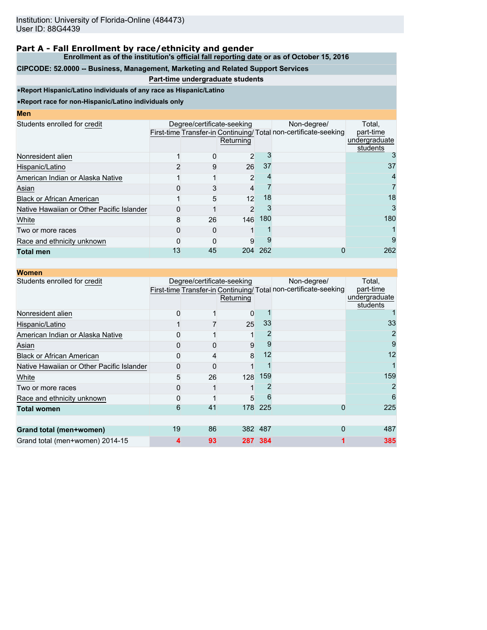**Enrollment as of the institution's official fall reporting date or as of October 15, 2016**

# **CIPCODE: 52.0000 -- Business, Management, Marketing and Related Support Services**

### **Part-time undergraduate students**

•**Report Hispanic/Latino individuals of any race as Hispanic/Latino**

•**Report race for non-Hispanic/Latino individuals only**

### **Men**

| MCII                                      |    |                            |                |     |                                                                                |                                                  |
|-------------------------------------------|----|----------------------------|----------------|-----|--------------------------------------------------------------------------------|--------------------------------------------------|
| Students enrolled for credit              |    | Degree/certificate-seeking | Returning      |     | Non-degree/<br>First-time Transfer-in Continuing/Total non-certificate-seeking | Total.<br>part-time<br>undergraduate<br>students |
| Nonresident alien                         |    | O                          | 2              |     |                                                                                |                                                  |
| Hispanic/Latino                           |    | 9                          | 26             | 37  |                                                                                | 37                                               |
| American Indian or Alaska Native          |    |                            | $\overline{2}$ |     |                                                                                |                                                  |
| Asian                                     |    |                            | 4              |     |                                                                                |                                                  |
| <b>Black or African American</b>          |    | 5                          | 12             | 18  |                                                                                | 18                                               |
| Native Hawaiian or Other Pacific Islander |    |                            | 2              |     |                                                                                |                                                  |
| White                                     | 8  | 26                         | 146            | 180 |                                                                                | 180                                              |
| Two or more races                         |    |                            |                |     |                                                                                |                                                  |
| Race and ethnicity unknown                |    |                            | 9              |     |                                                                                | 9                                                |
| <b>Total men</b>                          | 13 | 45                         | 204            | 262 |                                                                                | 262                                              |

| <b>Women</b>                              |    |                            |           |         |                                                                                |                                                  |
|-------------------------------------------|----|----------------------------|-----------|---------|--------------------------------------------------------------------------------|--------------------------------------------------|
| Students enrolled for credit              |    | Degree/certificate-seeking | Returning |         | Non-degree/<br>First-time Transfer-in Continuing/Total non-certificate-seeking | Total,<br>part-time<br>undergraduate<br>students |
| Nonresident alien                         |    |                            | 0         |         |                                                                                |                                                  |
| Hispanic/Latino                           |    |                            | 25        | 33      |                                                                                | 33                                               |
| American Indian or Alaska Native          |    |                            |           |         |                                                                                |                                                  |
| Asian                                     |    |                            | 9         |         |                                                                                | 9                                                |
| <b>Black or African American</b>          |    | 4                          | 8         | 12      |                                                                                | 12                                               |
| Native Hawaiian or Other Pacific Islander |    |                            |           |         |                                                                                |                                                  |
| White                                     | 5  | 26                         | 128       | 159     |                                                                                | 159                                              |
| Two or more races                         |    |                            |           |         |                                                                                |                                                  |
| Race and ethnicity unknown                |    |                            | 5         |         |                                                                                | 6                                                |
| <b>Total women</b>                        | 6  | 41                         | 178       | 225     | 0                                                                              | 225                                              |
|                                           |    |                            |           |         |                                                                                |                                                  |
| Grand total (men+women)                   | 19 | 86                         |           | 382 487 | 0                                                                              | 487                                              |
| Grand total (men+women) 2014-15           | 4  | 93                         |           | 287 384 |                                                                                | 385                                              |
|                                           |    |                            |           |         |                                                                                |                                                  |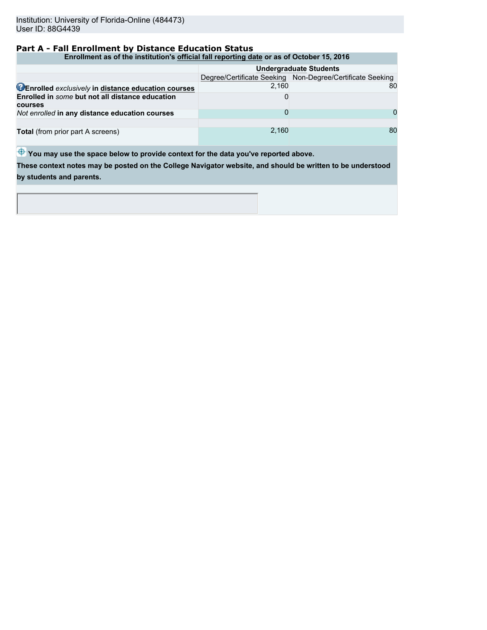### **Part A - Fall Enrollment by Distance Education Status**

#### **Enrollment as of the institution's official fall reporting date or as of October 15, 2016**

|                                                                   | <b>Undergraduate Students</b> |                                                             |  |  |  |  |
|-------------------------------------------------------------------|-------------------------------|-------------------------------------------------------------|--|--|--|--|
|                                                                   |                               | Degree/Certificate Seeking   Non-Degree/Certificate Seeking |  |  |  |  |
| <b>CEnrolled exclusively in distance education courses</b>        | 2.160                         | 80                                                          |  |  |  |  |
| Enrolled in some but not all distance education<br><b>courses</b> |                               |                                                             |  |  |  |  |
| Not enrolled in any distance education courses                    |                               | <sup>n</sup>                                                |  |  |  |  |
| Total (from prior part A screens)                                 | 2.160                         | 80                                                          |  |  |  |  |

 $\bigoplus$  You may use the space below to provide context for the data you've reported above.

**These context notes may be posted on the College Navigator website, and should be written to be understood by students and parents.**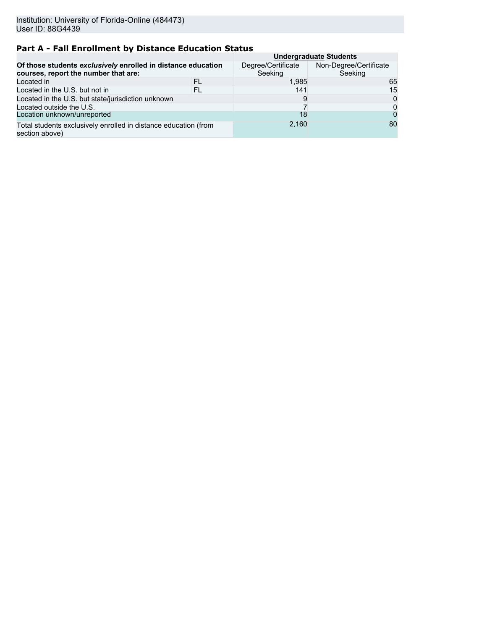# **Part A - Fall Enrollment by Distance Education Status**

|                                                                                                      | <b>Undergraduate Students</b> |                                   |    |  |  |  |
|------------------------------------------------------------------------------------------------------|-------------------------------|-----------------------------------|----|--|--|--|
| Of those students exclusively enrolled in distance education<br>courses, report the number that are: | Degree/Certificate<br>Seeking | Non-Degree/Certificate<br>Seeking |    |  |  |  |
| Located in                                                                                           | FL                            | 1,985                             | 65 |  |  |  |
| Located in the U.S. but not in                                                                       | FL                            | 141                               | 15 |  |  |  |
| Located in the U.S. but state/jurisdiction unknown                                                   |                               | 9                                 | 0  |  |  |  |
| Located outside the U.S.                                                                             |                               |                                   | 0  |  |  |  |
| Location unknown/unreported                                                                          |                               | 18                                | 0  |  |  |  |
| Total students exclusively enrolled in distance education (from<br>section above)                    |                               | 2.160                             | 80 |  |  |  |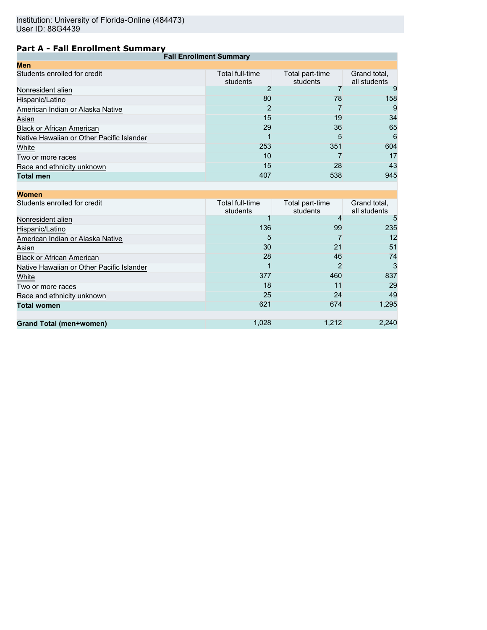# **Part A - Fall Enrollment Summary**

| <b>Fall Enrollment Summary</b> |                             |                              |
|--------------------------------|-----------------------------|------------------------------|
|                                |                             |                              |
| Total full-time<br>students    | Total part-time<br>students | Grand total,<br>all students |
|                                |                             | 9                            |
| 80                             | 78                          | 158                          |
| 2                              |                             | 9                            |
| 15                             | 19                          | 34                           |
| 29                             | 36                          | 65                           |
|                                | 5                           | 6                            |
| 253                            | 351                         | 604                          |
| 10                             |                             | 17                           |
| 15                             | 28                          | 43                           |
| 407                            | 538                         | 945                          |
|                                |                             |                              |

| <b>Women</b>                              |                             |                             |                              |
|-------------------------------------------|-----------------------------|-----------------------------|------------------------------|
| Students enrolled for credit              | Total full-time<br>students | Total part-time<br>students | Grand total,<br>all students |
| Nonresident alien                         |                             |                             | 5                            |
| Hispanic/Latino                           | 136                         | 99                          | 235                          |
| American Indian or Alaska Native          | 5                           |                             | 12                           |
| Asian                                     | 30                          | 21                          | 51                           |
| <b>Black or African American</b>          | 28                          |                             | 74                           |
| Native Hawaiian or Other Pacific Islander |                             | 2                           | 3                            |
| White                                     | 377                         | 460                         | 837                          |
| Two or more races                         | 18                          | 11                          | 29                           |
| Race and ethnicity unknown                | 25                          | 24                          | 49                           |
| <b>Total women</b>                        | 621                         | 674                         | 1,295                        |
|                                           |                             |                             |                              |
| <b>Grand Total (men+women)</b>            | 1,028                       | 1,212                       | 2,240                        |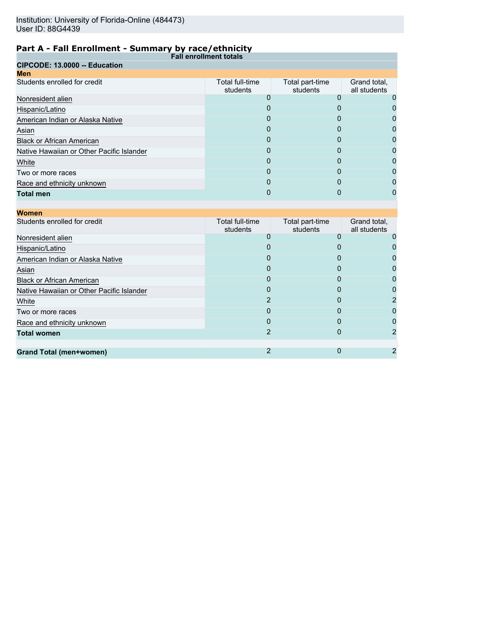| . <b>.</b><br><b>Fall enrollment totals</b> |                             |                             |                              |
|---------------------------------------------|-----------------------------|-----------------------------|------------------------------|
| CIPCODE: 13.0000 -- Education               |                             |                             |                              |
| <b>Men</b>                                  |                             |                             |                              |
| Students enrolled for credit                | Total full-time<br>students | Total part-time<br>students | Grand total,<br>all students |
| Nonresident alien                           |                             |                             |                              |
| Hispanic/Latino                             | O                           | 0                           |                              |
| American Indian or Alaska Native            |                             |                             |                              |
| Asian                                       | 0                           | 0                           | O                            |
| <b>Black or African American</b>            | 0                           | 0                           | 0                            |
| Native Hawaiian or Other Pacific Islander   | 0                           | 0                           |                              |
| White                                       | $\Omega$                    | O                           | 0                            |
| Two or more races                           | O                           |                             |                              |
| Race and ethnicity unknown                  | 0                           | 0                           |                              |
| <b>Total men</b>                            | O                           | O                           |                              |
|                                             |                             |                             |                              |

| <b>Women</b>                              |                             |                             |                              |
|-------------------------------------------|-----------------------------|-----------------------------|------------------------------|
| Students enrolled for credit              | Total full-time<br>students | Total part-time<br>students | Grand total,<br>all students |
| Nonresident alien                         |                             |                             |                              |
| Hispanic/Latino                           |                             |                             |                              |
| American Indian or Alaska Native          | O                           | 0                           |                              |
| Asian                                     |                             |                             |                              |
| <b>Black or African American</b>          | O                           | O                           |                              |
| Native Hawaiian or Other Pacific Islander |                             | O                           |                              |
| White                                     | 2                           | O                           |                              |
| Two or more races                         | O                           | O                           |                              |
| Race and ethnicity unknown                | $\mathbf{0}$                |                             |                              |
| <b>Total women</b>                        | 2                           | O                           |                              |
|                                           |                             |                             |                              |
| Grand Total (men+women)                   | 2                           |                             |                              |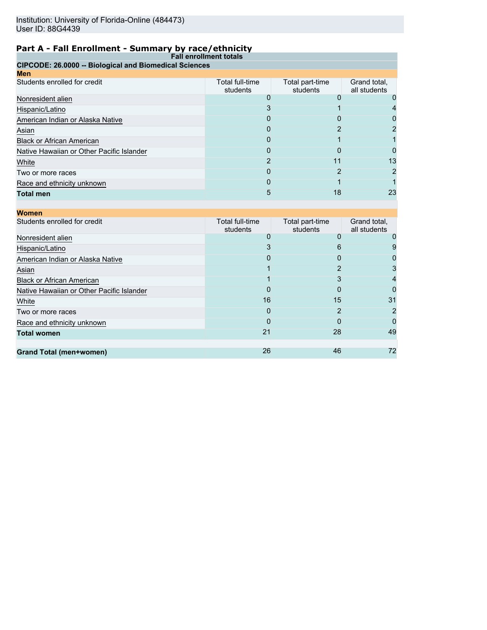| <b>Fall enrollment totals</b>                          |                             |                             |                              |  |
|--------------------------------------------------------|-----------------------------|-----------------------------|------------------------------|--|
| CIPCODE: 26.0000 -- Biological and Biomedical Sciences |                             |                             |                              |  |
| <b>Men</b>                                             |                             |                             |                              |  |
| Students enrolled for credit                           | Total full-time<br>students | Total part-time<br>students | Grand total,<br>all students |  |
| Nonresident alien                                      |                             |                             |                              |  |
| Hispanic/Latino                                        | 3                           |                             |                              |  |
| American Indian or Alaska Native                       |                             |                             |                              |  |
| Asian                                                  | 0                           |                             |                              |  |
| <b>Black or African American</b>                       | 0                           |                             |                              |  |
| Native Hawaiian or Other Pacific Islander              | $\Omega$                    |                             |                              |  |
| White                                                  |                             | 11                          | 13                           |  |
| Two or more races                                      | 0                           |                             |                              |  |
| Race and ethnicity unknown                             | 0                           |                             |                              |  |
| <b>Total men</b>                                       | 5                           | 18                          | 23                           |  |

| <b>Women</b>                              |                             |                             |                              |
|-------------------------------------------|-----------------------------|-----------------------------|------------------------------|
| Students enrolled for credit              | Total full-time<br>students | Total part-time<br>students | Grand total,<br>all students |
| Nonresident alien                         | 0                           | O                           |                              |
| Hispanic/Latino                           | 3                           | 6                           |                              |
| American Indian or Alaska Native          | 0                           | 0                           |                              |
| Asian                                     |                             |                             |                              |
| <b>Black or African American</b>          |                             | 3                           |                              |
| Native Hawaiian or Other Pacific Islander | 0                           | O                           |                              |
| White                                     | 16                          | 15                          | 31                           |
| Two or more races                         | 0                           |                             |                              |
| Race and ethnicity unknown                | O                           | O                           |                              |
| <b>Total women</b>                        | 21                          | 28                          | 49                           |
|                                           |                             |                             |                              |
| Grand Total (men+women)                   | 26                          | 46                          | 72                           |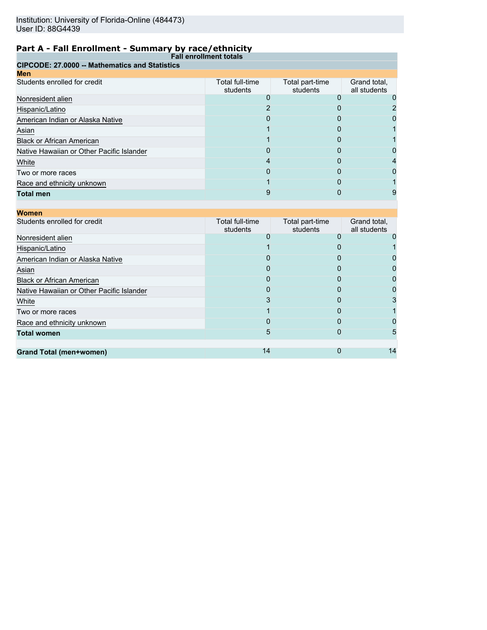|                                                       | <b>Fall enrollment totals</b> |                             |                              |  |
|-------------------------------------------------------|-------------------------------|-----------------------------|------------------------------|--|
| <b>CIPCODE: 27,0000 -- Mathematics and Statistics</b> |                               |                             |                              |  |
| <b>Men</b>                                            |                               |                             |                              |  |
| Students enrolled for credit                          | Total full-time<br>students   | Total part-time<br>students | Grand total,<br>all students |  |
| Nonresident alien                                     |                               |                             |                              |  |
| Hispanic/Latino                                       |                               | 0                           |                              |  |
| American Indian or Alaska Native                      | O                             |                             |                              |  |
| Asian                                                 |                               |                             |                              |  |
| <b>Black or African American</b>                      |                               | O                           |                              |  |
| Native Hawaiian or Other Pacific Islander             | 0                             | O                           |                              |  |
| White                                                 |                               |                             |                              |  |
| Two or more races                                     |                               |                             |                              |  |
| Race and ethnicity unknown                            |                               | O                           |                              |  |
| <b>Total men</b>                                      |                               |                             |                              |  |

| <b>Women</b>                              |                             |                             |                              |
|-------------------------------------------|-----------------------------|-----------------------------|------------------------------|
| Students enrolled for credit              | Total full-time<br>students | Total part-time<br>students | Grand total,<br>all students |
| Nonresident alien                         | 0                           | O                           |                              |
| Hispanic/Latino                           |                             | 0                           |                              |
| American Indian or Alaska Native          |                             |                             |                              |
| Asian                                     | O                           | 0                           |                              |
| <b>Black or African American</b>          | O                           | 0                           |                              |
| Native Hawaiian or Other Pacific Islander | 0                           | 0                           |                              |
| White                                     | 3                           | 0                           |                              |
| Two or more races                         |                             | O                           |                              |
| Race and ethnicity unknown                | O                           | O                           |                              |
| <b>Total women</b>                        | 5                           | 0                           |                              |
|                                           |                             |                             |                              |
| <b>Grand Total (men+women)</b>            | 14                          |                             | 14                           |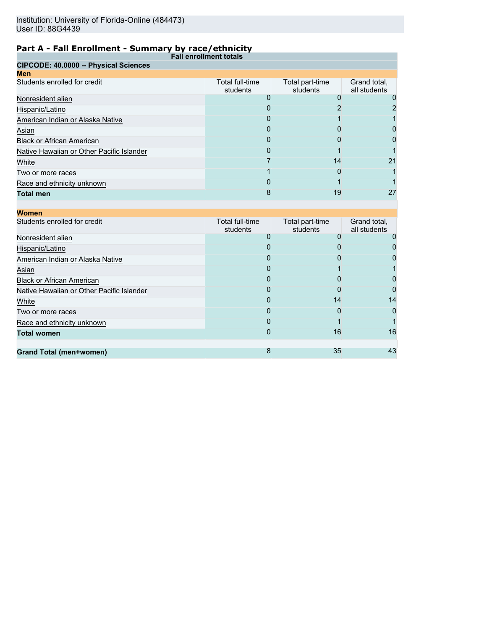| <b>Fall enrollment totals</b>             |                             |                             |                              |  |
|-------------------------------------------|-----------------------------|-----------------------------|------------------------------|--|
| CIPCODE: 40.0000 -- Physical Sciences     |                             |                             |                              |  |
| <b>Men</b>                                |                             |                             |                              |  |
| Students enrolled for credit              | Total full-time<br>students | Total part-time<br>students | Grand total,<br>all students |  |
| Nonresident alien                         |                             |                             |                              |  |
| Hispanic/Latino                           | O                           |                             |                              |  |
| American Indian or Alaska Native          | Ω                           |                             |                              |  |
| Asian                                     |                             | $\mathbf{I}$                |                              |  |
| <b>Black or African American</b>          | 0                           | 0                           | O                            |  |
| Native Hawaiian or Other Pacific Islander | 0                           |                             |                              |  |
| White                                     |                             | 14                          | 21                           |  |
| Two or more races                         |                             | 0                           |                              |  |
| Race and ethnicity unknown                | 0                           |                             |                              |  |
| <b>Total men</b>                          | 8                           | 19                          | 27                           |  |

| <b>Women</b>                              |                             |                             |                              |
|-------------------------------------------|-----------------------------|-----------------------------|------------------------------|
| Students enrolled for credit              | Total full-time<br>students | Total part-time<br>students | Grand total,<br>all students |
| Nonresident alien                         |                             |                             |                              |
| Hispanic/Latino                           |                             |                             |                              |
| American Indian or Alaska Native          |                             |                             |                              |
| Asian                                     | 0                           |                             |                              |
| <b>Black or African American</b>          |                             |                             |                              |
| Native Hawaiian or Other Pacific Islander | 0                           | n                           |                              |
| White                                     | $\Omega$                    | 14                          | 14                           |
| Two or more races                         |                             | O                           |                              |
| Race and ethnicity unknown                | O                           |                             |                              |
| <b>Total women</b>                        | $\mathbf{I}$                | 16                          | 16                           |
|                                           |                             |                             |                              |
| Grand Total (men+women)                   | 8                           | 35                          | 43                           |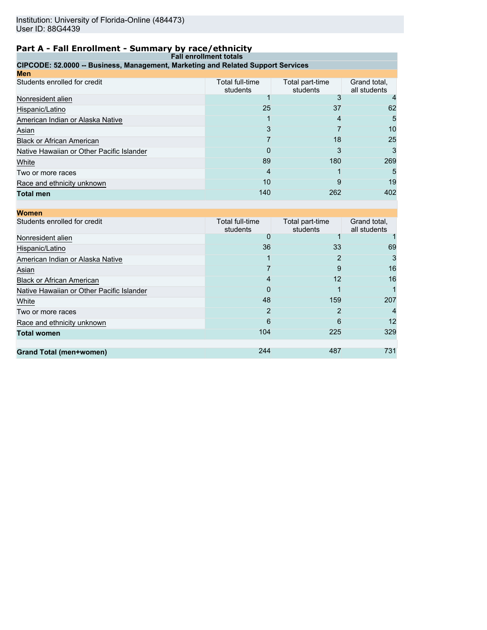| <b>Fall enrollment totals</b>                                                    |                             |                             |                              |
|----------------------------------------------------------------------------------|-----------------------------|-----------------------------|------------------------------|
| CIPCODE: 52.0000 -- Business, Management, Marketing and Related Support Services |                             |                             |                              |
| <b>Men</b>                                                                       |                             |                             |                              |
| Students enrolled for credit                                                     | Total full-time<br>students | Total part-time<br>students | Grand total,<br>all students |
| Nonresident alien                                                                |                             |                             |                              |
| Hispanic/Latino                                                                  | 25                          | 37                          |                              |
| American Indian or Alaska Native                                                 | 4                           |                             |                              |
| Asian                                                                            |                             |                             | 10                           |
| <b>Black or African American</b>                                                 |                             | 18                          | 25                           |
| Native Hawaiian or Other Pacific Islander                                        | $\mathbf{O}$                | 3                           |                              |
| White                                                                            | 89                          | 180                         | 269                          |
| Two or more races                                                                | 4                           |                             |                              |
| Race and ethnicity unknown                                                       | 10                          | 9                           | 19                           |
| <b>Total men</b>                                                                 | 140                         | 262                         | 402                          |

| <b>Women</b>                              |                             |                             |                              |
|-------------------------------------------|-----------------------------|-----------------------------|------------------------------|
| Students enrolled for credit              | Total full-time<br>students | Total part-time<br>students | Grand total,<br>all students |
| Nonresident alien                         | 0                           |                             |                              |
| Hispanic/Latino                           | 36                          | 33                          | 69                           |
| American Indian or Alaska Native          |                             | 2                           | 3                            |
| Asian                                     |                             | 9                           | 16                           |
| <b>Black or African American</b>          | 4                           | 12                          | 16                           |
| Native Hawaiian or Other Pacific Islander | 0                           |                             |                              |
| White                                     | 48                          | 159                         | 207                          |
| Two or more races                         | 2                           |                             | 4                            |
| Race and ethnicity unknown                | 6                           | 6                           | 12                           |
| <b>Total women</b>                        | 104                         | 225                         | 329                          |
|                                           |                             |                             |                              |
| <b>Grand Total (men+women)</b>            | 244                         | 487                         | 731                          |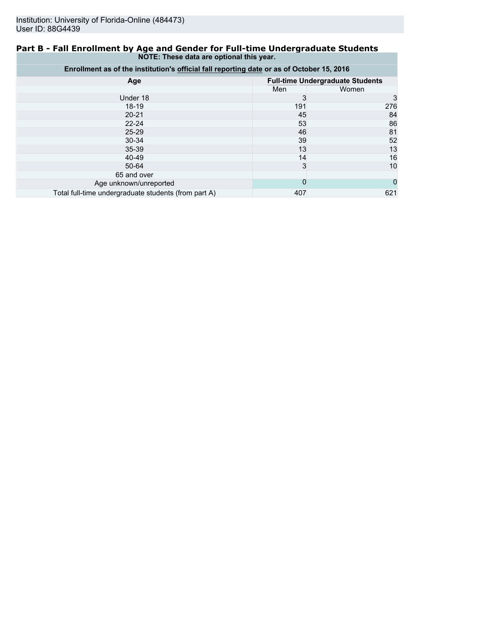#### **Part B - Fall Enrollment by Age and Gender for Full-time Undergraduate Students NOTE: These data are optional this year.**

| Enrollment as of the institution's official fall reporting date or as of October 15, 2016 |                                         |       |  |
|-------------------------------------------------------------------------------------------|-----------------------------------------|-------|--|
| Age                                                                                       | <b>Full-time Undergraduate Students</b> |       |  |
|                                                                                           | Men                                     | Women |  |
| Under 18                                                                                  | 3                                       |       |  |
| $18 - 19$                                                                                 | 191                                     | 276   |  |
| $20 - 21$                                                                                 | 45                                      | 84    |  |
| $22 - 24$                                                                                 | 53                                      | 86    |  |
| $25 - 29$                                                                                 | 46                                      | 81    |  |
| $30 - 34$                                                                                 | 39                                      | 52    |  |
| 35-39                                                                                     | 13                                      | 13    |  |
| 40-49                                                                                     | 14                                      | 16    |  |
| 50-64                                                                                     | 3                                       | 10    |  |
| 65 and over                                                                               |                                         |       |  |
| Age unknown/unreported                                                                    | 0                                       |       |  |
| Total full-time undergraduate students (from part A)                                      | 407                                     | 621   |  |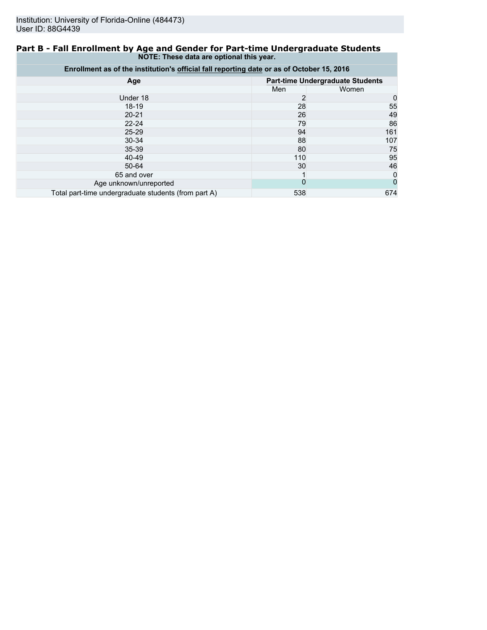#### **Part B - Fall Enrollment by Age and Gender for Part-time Undergraduate Students NOTE: These data are optional this year.**

| Enrollment as of the institution's official fall reporting date or as of October 15, 2016 |     |                                         |  |
|-------------------------------------------------------------------------------------------|-----|-----------------------------------------|--|
| Age                                                                                       |     | <b>Part-time Undergraduate Students</b> |  |
|                                                                                           | Men | Women                                   |  |
| Under 18                                                                                  | 2   | 0                                       |  |
| $18-19$                                                                                   | 28  | 55                                      |  |
| $20 - 21$                                                                                 | 26  | 49                                      |  |
| $22 - 24$                                                                                 | 79  | 86                                      |  |
| $25 - 29$                                                                                 | 94  | 161                                     |  |
| 30-34                                                                                     | 88  | 107                                     |  |
| $35 - 39$                                                                                 | 80  | 75                                      |  |
| 40-49                                                                                     | 110 | 95                                      |  |
| 50-64                                                                                     | 30  | 46                                      |  |
| 65 and over                                                                               |     | 0                                       |  |
| Age unknown/unreported                                                                    | 0   |                                         |  |
| Total part-time undergraduate students (from part A)                                      | 538 | 674                                     |  |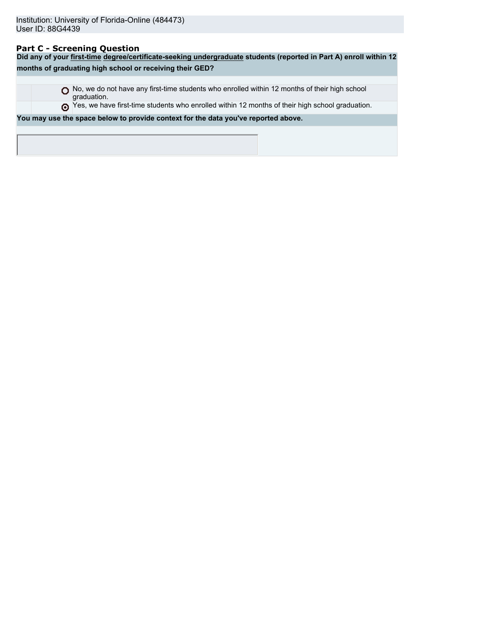# **Part C - Screening Question**

| Did any of your first-time degree/certificate-seeking undergraduate students (reported in Part A) enroll within 12 |                                                                                                  |  |  |  |  |
|--------------------------------------------------------------------------------------------------------------------|--------------------------------------------------------------------------------------------------|--|--|--|--|
|                                                                                                                    | months of graduating high school or receiving their GED?                                         |  |  |  |  |
|                                                                                                                    |                                                                                                  |  |  |  |  |
| graduation.                                                                                                        | No, we do not have any first-time students who enrolled within 12 months of their high school    |  |  |  |  |
|                                                                                                                    | These we have first-time students who enrolled within 12 months of their high school graduation. |  |  |  |  |
|                                                                                                                    | You may use the space below to provide context for the data you've reported above.               |  |  |  |  |
|                                                                                                                    |                                                                                                  |  |  |  |  |
|                                                                                                                    |                                                                                                  |  |  |  |  |
|                                                                                                                    |                                                                                                  |  |  |  |  |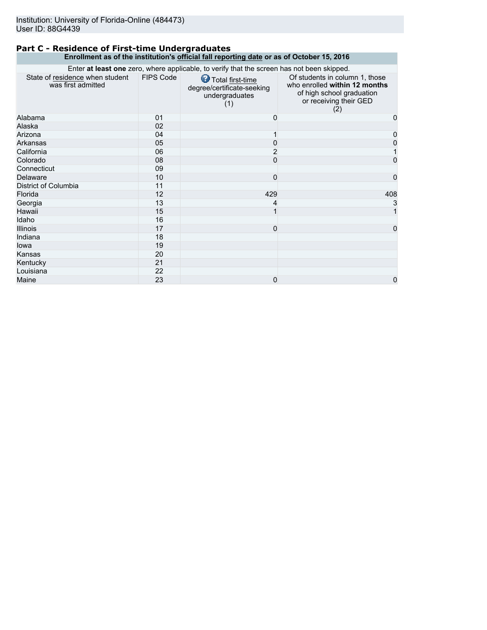#### **Part C - Residence of First-time Undergraduates Enrollment as of the institution's official fall reporting date or as of October 15, 2016**

| Enter at least one zero, where applicable, to verify that the screen has not been skipped. |                  |                                                                         |                                                                                                                               |
|--------------------------------------------------------------------------------------------|------------------|-------------------------------------------------------------------------|-------------------------------------------------------------------------------------------------------------------------------|
| State of residence when student<br>was first admitted                                      | <b>FIPS Code</b> | Total first-time<br>degree/certificate-seeking<br>undergraduates<br>(1) | Of students in column 1, those<br>who enrolled within 12 months<br>of high school graduation<br>or receiving their GED<br>(2) |
| Alabama                                                                                    | 01               | 0                                                                       | 0                                                                                                                             |
| Alaska                                                                                     | 02               |                                                                         |                                                                                                                               |
| Arizona                                                                                    | 04               |                                                                         | 0                                                                                                                             |
| Arkansas                                                                                   | 05               | 0                                                                       | 0                                                                                                                             |
| California                                                                                 | 06               | 2                                                                       |                                                                                                                               |
| Colorado                                                                                   | 08               | $\Omega$                                                                | 0                                                                                                                             |
| Connecticut                                                                                | 09               |                                                                         |                                                                                                                               |
| Delaware                                                                                   | 10               | 0                                                                       | 0                                                                                                                             |
| District of Columbia                                                                       | 11               |                                                                         |                                                                                                                               |
| Florida                                                                                    | 12               | 429                                                                     | 408                                                                                                                           |
| Georgia                                                                                    | 13               | 4                                                                       | 3                                                                                                                             |
| Hawaii                                                                                     | 15               | 1                                                                       |                                                                                                                               |
| Idaho                                                                                      | 16               |                                                                         |                                                                                                                               |
| <b>Illinois</b>                                                                            | 17               | 0                                                                       | 0                                                                                                                             |
| Indiana                                                                                    | 18               |                                                                         |                                                                                                                               |
| lowa                                                                                       | 19               |                                                                         |                                                                                                                               |
| Kansas                                                                                     | 20               |                                                                         |                                                                                                                               |
| Kentucky                                                                                   | 21               |                                                                         |                                                                                                                               |
| Louisiana                                                                                  | 22               |                                                                         |                                                                                                                               |
| Maine                                                                                      | 23               | 0                                                                       | 0                                                                                                                             |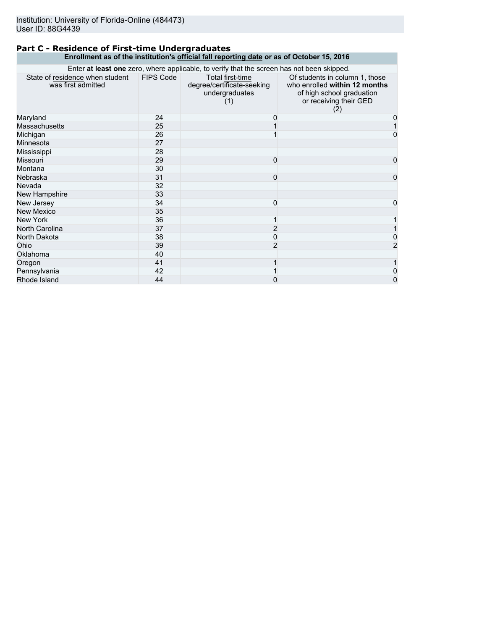#### **Part C - Residence of First-time Undergraduates Enrollment as of the institution's official fall reporting date or as of October 15, 2016**

| Enter at least one zero, where applicable, to verify that the screen has not been skipped. |                  |                                                                         |                                                                                                                               |
|--------------------------------------------------------------------------------------------|------------------|-------------------------------------------------------------------------|-------------------------------------------------------------------------------------------------------------------------------|
| State of residence when student<br>was first admitted                                      | <b>FIPS Code</b> | Total first-time<br>degree/certificate-seeking<br>undergraduates<br>(1) | Of students in column 1, those<br>who enrolled within 12 months<br>of high school graduation<br>or receiving their GED<br>(2) |
| Maryland                                                                                   | 24               | 0                                                                       | 0                                                                                                                             |
| <b>Massachusetts</b>                                                                       | 25               |                                                                         |                                                                                                                               |
| Michigan                                                                                   | 26               |                                                                         | 0                                                                                                                             |
| Minnesota                                                                                  | 27               |                                                                         |                                                                                                                               |
| Mississippi                                                                                | 28               |                                                                         |                                                                                                                               |
| <b>Missouri</b>                                                                            | 29               | 0                                                                       | 0                                                                                                                             |
| Montana                                                                                    | 30               |                                                                         |                                                                                                                               |
| Nebraska                                                                                   | 31               | 0                                                                       | 0                                                                                                                             |
| Nevada                                                                                     | 32               |                                                                         |                                                                                                                               |
| New Hampshire                                                                              | 33               |                                                                         |                                                                                                                               |
| New Jersey                                                                                 | 34               | 0                                                                       | 0                                                                                                                             |
| <b>New Mexico</b>                                                                          | 35               |                                                                         |                                                                                                                               |
| New York                                                                                   | 36               |                                                                         |                                                                                                                               |
| North Carolina                                                                             | 37               |                                                                         |                                                                                                                               |
| North Dakota                                                                               | 38               | 0                                                                       | 0                                                                                                                             |
| Ohio                                                                                       | 39               | $\overline{2}$                                                          | 2                                                                                                                             |
| Oklahoma                                                                                   | 40               |                                                                         |                                                                                                                               |
| Oregon                                                                                     | 41               |                                                                         |                                                                                                                               |
| Pennsylvania                                                                               | 42               |                                                                         | 0                                                                                                                             |
| Rhode Island                                                                               | 44               | 0                                                                       | 0                                                                                                                             |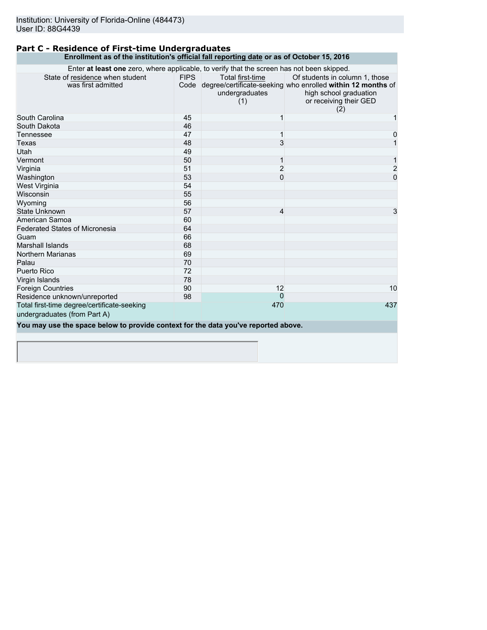#### **Part C - Residence of First-time Undergraduates Enrollment as of the institution's official fall reporting date or as of October 15, 2016**

| Enter at least one zero, where applicable, to verify that the screen has not been skipped. |             |                                           |                                                                                                                                                               |
|--------------------------------------------------------------------------------------------|-------------|-------------------------------------------|---------------------------------------------------------------------------------------------------------------------------------------------------------------|
| State of residence when student<br>was first admitted                                      | <b>FIPS</b> | Total first-time<br>undergraduates<br>(1) | Of students in column 1, those<br>Code degree/certificate-seeking who enrolled within 12 months of<br>high school graduation<br>or receiving their GED<br>(2) |
| South Carolina                                                                             | 45          |                                           |                                                                                                                                                               |
| South Dakota                                                                               | 46          |                                           |                                                                                                                                                               |
| Tennessee                                                                                  | 47          |                                           | 0                                                                                                                                                             |
| Texas                                                                                      | 48          | 3                                         |                                                                                                                                                               |
| Utah                                                                                       | 49          |                                           |                                                                                                                                                               |
| Vermont                                                                                    | 50          | 1                                         | 1                                                                                                                                                             |
| Virginia                                                                                   | 51          | $\overline{2}$                            | $\overline{c}$                                                                                                                                                |
| Washington                                                                                 | 53          | $\mathbf{0}$                              | $\overline{0}$                                                                                                                                                |
| West Virginia                                                                              | 54          |                                           |                                                                                                                                                               |
| Wisconsin                                                                                  | 55          |                                           |                                                                                                                                                               |
| Wyoming                                                                                    | 56          |                                           |                                                                                                                                                               |
| <b>State Unknown</b>                                                                       | 57          | 4                                         | 3                                                                                                                                                             |
| American Samoa                                                                             | 60          |                                           |                                                                                                                                                               |
| <b>Federated States of Micronesia</b>                                                      | 64          |                                           |                                                                                                                                                               |
| Guam                                                                                       | 66          |                                           |                                                                                                                                                               |
| Marshall Islands                                                                           | 68          |                                           |                                                                                                                                                               |
| <b>Northern Marianas</b>                                                                   | 69          |                                           |                                                                                                                                                               |
| Palau                                                                                      | 70          |                                           |                                                                                                                                                               |
| Puerto Rico                                                                                | 72          |                                           |                                                                                                                                                               |
| Virgin Islands                                                                             | 78          |                                           |                                                                                                                                                               |
| <b>Foreign Countries</b>                                                                   | 90          | 12                                        | 10                                                                                                                                                            |
| Residence unknown/unreported                                                               | 98          | $\Omega$                                  |                                                                                                                                                               |
| Total first-time degree/certificate-seeking                                                |             | 470                                       | 437                                                                                                                                                           |
| undergraduates (from Part A)                                                               |             |                                           |                                                                                                                                                               |
| You may use the space below to provide context for the data you've reported above.         |             |                                           |                                                                                                                                                               |
|                                                                                            |             |                                           |                                                                                                                                                               |
|                                                                                            |             |                                           |                                                                                                                                                               |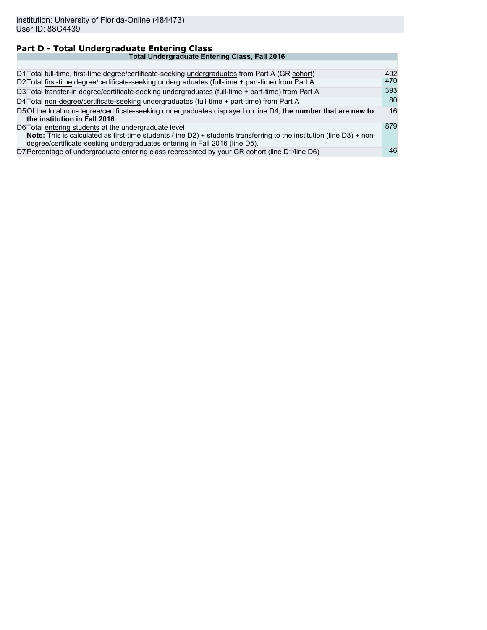#### **Part D - Total Undergraduate Entering Class Total Undergraduate Entering Class, Fall 2016** D1 Total full-time, first-time degree/certificate-seeking undergraduates from Part A (GR cohort) 402<br>D2 Total first-time degree/certificate-seeking undergraduates (full-time + part-time) from Part A 470 D2 Total first-time degree/certificate-seeking undergraduates (full-time + part-time) from Part A D3 Total transfer-in degree/certificate-seeking undergraduates (full-time + part-time) from Part A 393<br>D4 Total non-degree/certificate-seeking undergraduates (full-time + part-time) from Part A 393 D4 Total non-degree/certificate-seeking undergraduates (full-time + part-time) from Part A D5Of the total non-degree/certificate-seeking undergraduates displayed on line D4, **the number that are new to the institution in Fall 2016** 16 D6Total entering students at the undergraduate level **Note:** This is calculated as first-time students (line D2) + students transferring to the institution (line D3) + nondegree/certificate-seeking undergraduates entering in Fall 2016 (line D5). 879 D7 Percentage of undergraduate entering class represented by your GR cohort (line D1/line D6) 46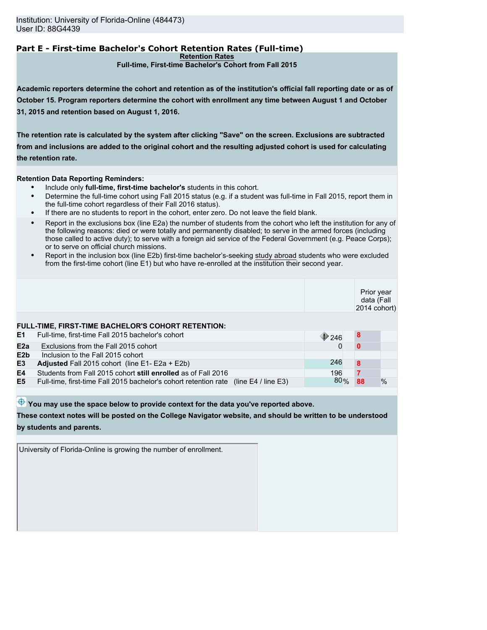# **Part E - First-time Bachelor's Cohort Retention Rates (Full-time)**

**Retention Rates**

**Full-time, First-time Bachelor's Cohort from Fall 2015**

**Academic reporters determine the cohort and retention as of the institution's official fall reporting date or as of October 15. Program reporters determine the cohort with enrollment any time between August 1 and October 31, 2015 and retention based on August 1, 2016.**

**The retention rate is calculated by the system after clicking "Save" on the screen. Exclusions are subtracted from and inclusions are added to the original cohort and the resulting adjusted cohort is used for calculating the retention rate.**

**Retention Data Reporting Reminders:**

- Include only **full-time, first-time bachelor's** students in this cohort.
- Determine the full-time cohort using Fall 2015 status (e.g. if a student was full-time in Fall 2015, report them in the full-time cohort regardless of their Fall 2016 status).
- If there are no students to report in the cohort, enter zero. Do not leave the field blank.
- Report in the exclusions box (line E2a) the number of students from the cohort who left the institution for any of the following reasons: died or were totally and permanently disabled; to serve in the armed forces (including those called to active duty); to serve with a foreign aid service of the Federal Government (e.g. Peace Corps); or to serve on official church missions.
- Report in the inclusion box (line E2b) first-time bachelor's-seeking study abroad students who were excluded from the first-time cohort (line E1) but who have re-enrolled at the institution their second year.

|                  |                                                                                      |               | Prior year<br>data (Fall<br>2014 cohort) |      |
|------------------|--------------------------------------------------------------------------------------|---------------|------------------------------------------|------|
|                  | FULL-TIME, FIRST-TIME BACHELOR'S COHORT RETENTION:                                   |               |                                          |      |
| E1               | Full-time, first-time Fall 2015 bachelor's cohort                                    | $\bullet$ 246 | 8                                        |      |
| E <sub>2</sub> a | Exclusions from the Fall 2015 cohort                                                 |               | n                                        |      |
| E2b              | Inclusion to the Fall 2015 cohort                                                    |               |                                          |      |
| E3               | Adjusted Fall 2015 cohort (line E1- E2a + E2b)                                       | 246           | 8                                        |      |
| E4               | Students from Fall 2015 cohort still enrolled as of Fall 2016                        | 196           |                                          |      |
| E5               | Full-time, first-time Fall 2015 bachelor's cohort retention rate (line E4 / line E3) | 80%           | 88                                       | $\%$ |
|                  |                                                                                      |               |                                          |      |

 $\bigoplus$  You may use the space below to provide context for the data you've reported above.

**These context notes will be posted on the College Navigator website, and should be written to be understood by students and parents.**

University of Florida-Online is growing the number of enrollment.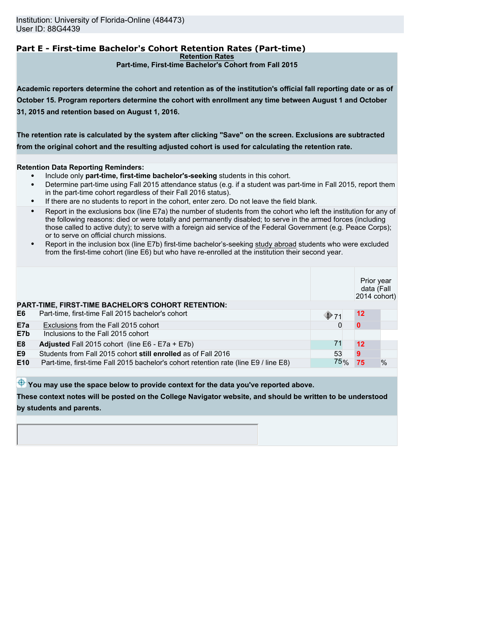# **Part E - First-time Bachelor's Cohort Retention Rates (Part-time)**

**Retention Rates**

**Part-time, First-time Bachelor's Cohort from Fall 2015**

**Academic reporters determine the cohort and retention as of the institution's official fall reporting date or as of October 15. Program reporters determine the cohort with enrollment any time between August 1 and October 31, 2015 and retention based on August 1, 2016.**

**The retention rate is calculated by the system after clicking "Save" on the screen. Exclusions are subtracted from the original cohort and the resulting adjusted cohort is used for calculating the retention rate.**

#### **Retention Data Reporting Reminders:**

- Include only **part-time, first-time bachelor's-seeking** students in this cohort.
- Determine part-time using Fall 2015 attendance status (e.g. if a student was part-time in Fall 2015, report them in the part-time cohort regardless of their Fall 2016 status).
- If there are no students to report in the cohort, enter zero. Do not leave the field blank.
- Report in the exclusions box (line E7a) the number of students from the cohort who left the institution for any of the following reasons: died or were totally and permanently disabled; to serve in the armed forces (including those called to active duty); to serve with a foreign aid service of the Federal Government (e.g. Peace Corps); or to serve on official church missions.
- Report in the inclusion box (line E7b) first-time bachelor's-seeking study abroad students who were excluded from the first-time cohort (line E6) but who have re-enrolled at the institution their second year.

|                 |                                                                                     |               | Prior year<br>data (Fall<br>2014 cohort) |      |
|-----------------|-------------------------------------------------------------------------------------|---------------|------------------------------------------|------|
|                 | <b>PART-TIME, FIRST-TIME BACHELOR'S COHORT RETENTION:</b>                           |               |                                          |      |
| E6              | Part-time, first-time Fall 2015 bachelor's cohort                                   | $\bigcirc$ 71 | $12 \,$                                  |      |
| E7a             | Exclusions from the Fall 2015 cohort                                                |               | $\bf{0}$                                 |      |
| E7b             | Inclusions to the Fall 2015 cohort                                                  |               |                                          |      |
| E <sub>8</sub>  | <b>Adjusted</b> Fall 2015 cohort (line $E6 - E7a + E7b$ )                           | 71            | 12                                       |      |
| E <sub>9</sub>  | Students from Fall 2015 cohort still enrolled as of Fall 2016                       | 53            | 9                                        |      |
| E <sub>10</sub> | Part-time, first-time Fall 2015 bachelor's cohort retention rate (line E9) line E8) | 75%           | 75                                       | $\%$ |
|                 |                                                                                     |               |                                          |      |

 $\bigoplus$  You may use the space below to provide context for the data you've reported above.

**These context notes will be posted on the College Navigator website, and should be written to be understood by students and parents.**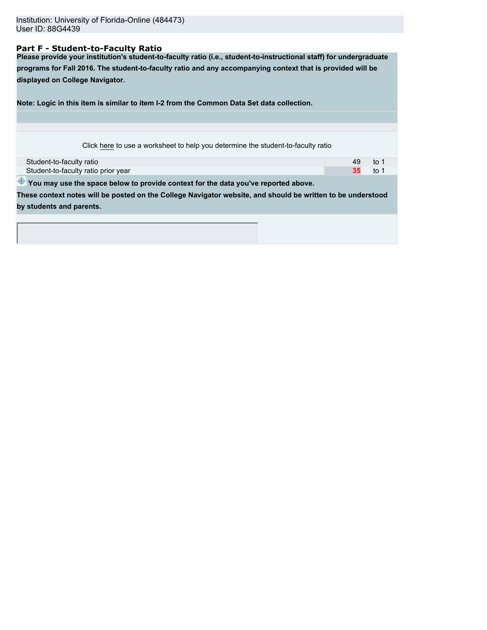#### **Part F - Student-to-Faculty Ratio**

**Please provide your institution's student-to-faculty ratio (i.e., student-to-instructional staff) for undergraduate programs for Fall 2016. The student-to-faculty ratio and any accompanying context that is provided will be displayed on College Navigator.**

**Note: Logic in this item is similar to item I-2 from the Common Data Set data collection.**

| Student-to-faculty ratio            | to |
|-------------------------------------|----|
| Student-to-faculty ratio prior year | to |

 $\bigoplus$  You may use the space below to provide context for the data you've reported above.

**These context notes will be posted on the College Navigator website, and should be written to be understood by students and parents.**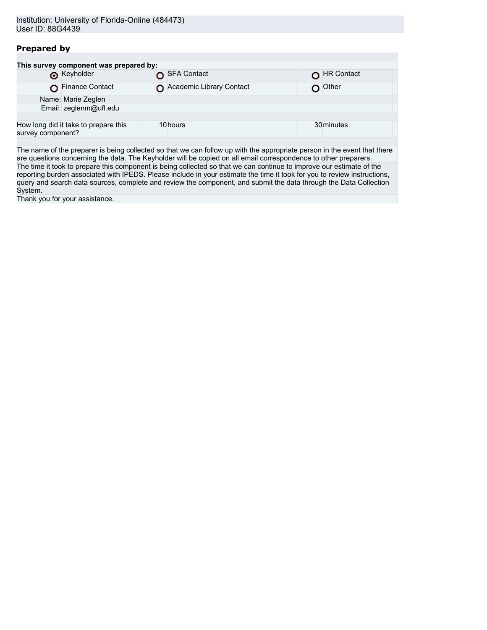# **Prepared by**

| This survey component was prepared by:                    |                          |            |
|-----------------------------------------------------------|--------------------------|------------|
| <b>O</b> Keyholder                                        | SFA Contact              | HR Contact |
| Finance Contact                                           | Academic Library Contact | ∩ Other    |
| Name: Marie Zeglen                                        |                          |            |
| Email: zeglenm@ufl.edu                                    |                          |            |
|                                                           |                          |            |
| How long did it take to prepare this<br>survey component? | 10hours                  | 30 minutes |
|                                                           |                          |            |

The name of the preparer is being collected so that we can follow up with the appropriate person in the event that there are questions concerning the data. The Keyholder will be copied on all email correspondence to other preparers. The time it took to prepare this component is being collected so that we can continue to improve our estimate of the reporting burden associated with IPEDS. Please include in your estimate the time it took for you to review instructions, query and search data sources, complete and review the component, and submit the data through the Data Collection System.

Thank you for your assistance.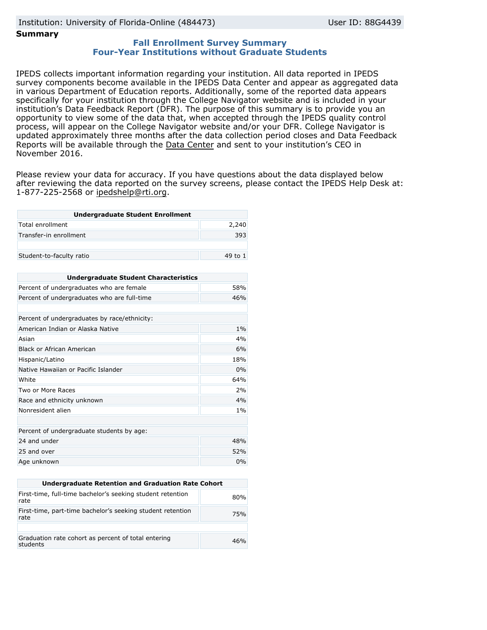# Institution: University of Florida-Online (484473) User ID: 88G4439

#### **Summary**

### **Fall Enrollment Survey Summary Four-Year Institutions without Graduate Students**

IPEDS collects important information regarding your institution. All data reported in IPEDS survey components become available in the IPEDS Data Center and appear as aggregated data in various Department of Education reports. Additionally, some of the reported data appears specifically for your institution through the College Navigator website and is included in your institution's Data Feedback Report (DFR). The purpose of this summary is to provide you an opportunity to view some of the data that, when accepted through the IPEDS quality control process, will appear on the College Navigator website and/or your DFR. College Navigator is updated approximately three months after the data collection period closes and Data Feedback Reports will be available through the [Data Center](http://nces.ed.gov/ipeds/datacenter/) and sent to your institution's CEO in November 2016.

Please review your data for accuracy. If you have questions about the data displayed below after reviewing the data reported on the survey screens, please contact the IPEDS Help Desk at: 1-877-225-2568 or ipedshelp@rti.org.

| <b>Undergraduate Student Enrollment</b> |         |
|-----------------------------------------|---------|
| Total enrollment                        | 2,240   |
| Transfer-in enrollment                  | 393     |
|                                         |         |
| Student-to-faculty ratio                | 49 to 1 |

| <b>Undergraduate Student Characteristics</b> |     |  |
|----------------------------------------------|-----|--|
| Percent of undergraduates who are female     | 58% |  |
| Percent of undergraduates who are full-time  | 46% |  |
|                                              |     |  |
| Percent of undergraduates by race/ethnicity: |     |  |
| American Indian or Alaska Native             | 1%  |  |
| Asian                                        | 4%  |  |
| Black or African American                    | 6%  |  |
| Hispanic/Latino                              | 18% |  |
| Native Hawaiian or Pacific Islander          | 0%  |  |
| White                                        | 64% |  |
| Two or More Races                            | 2%  |  |
| Race and ethnicity unknown                   | 4%  |  |
| Nonresident alien                            | 1%  |  |
|                                              |     |  |
| Percent of undergraduate students by age:    |     |  |
| 24 and under                                 | 48% |  |
| 25 and over                                  | 52% |  |
| Age unknown                                  | 0%  |  |

| Undergraduate Retention and Graduation Rate Cohort                 |     |  |  |  |
|--------------------------------------------------------------------|-----|--|--|--|
| First-time, full-time bachelor's seeking student retention<br>rate | 80% |  |  |  |
| First-time, part-time bachelor's seeking student retention<br>rate | 75% |  |  |  |
|                                                                    |     |  |  |  |
| Graduation rate cohort as percent of total entering<br>students    | 46% |  |  |  |